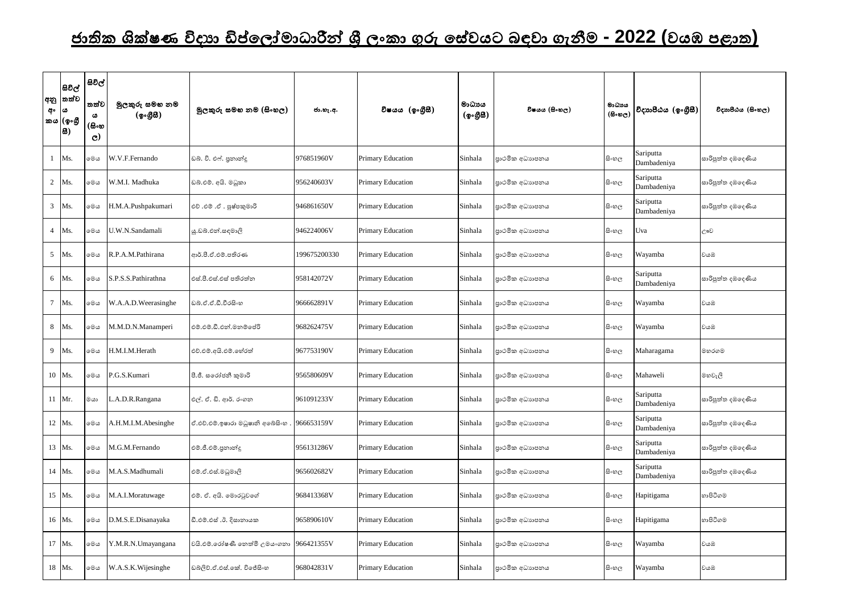## <u>ජාතික ශික්ෂණ විදාහ ඩිප්ලෝමාධාරීන් ශී ලංකා ගුරු සේවයට බඳවා ගැනීම - 2022 (වයඹ පළාත)</u>

| අං             | සිවිල්<br> අනු  තත්ව<br>63<br>කය (ඉංගී<br>  <b>B</b> | සිවිල්<br>තත්ව<br>ය<br>(සිංහ<br>$\mathbf{C}$ | මුලකුරු සමහ නම<br>(ඉංගීසී) | මූලකුරු සමහ නම (සිංහල)                  | ජා.හැ.අ.     | විෂයය (ඉංගීසී)    | මාධායය<br>(ඉංගීසී) | විෂයය (සිංහල)  | මාධායය<br>$(B \circ \mathfrak{v}_C)$ | විදාහපීඨය (ඉංගීුසී)      | විදාහපීඨය (සිංහල) |
|----------------|------------------------------------------------------|----------------------------------------------|----------------------------|-----------------------------------------|--------------|-------------------|--------------------|----------------|--------------------------------------|--------------------------|-------------------|
|                | Ms.                                                  | මෙය                                          | W.V.F.Fernando             | ඩබ. වි. එෆ්. පුනාන්දු                   | 976851960V   | Primary Education | Sinhala            | පාථමික අධාහපනය | සිංහල                                | Sariputta<br>Dambadeniya | සාරිපුත්ත දඹදෙණිය |
| $\overline{2}$ | Ms.                                                  | මෙය                                          | W.M.I. Madhuka             | ඩබ්.එම්. අයි. මධුකා                     | 956240603V   | Primary Education | Sinhala            | පාථමික අධාහපනය | සි∘හල                                | Sariputta<br>Dambadeniya | සාරිපුත්ත දඹදෙණිය |
|                | 3 Ms.                                                | මෙය                                          | H.M.A.Pushpakumari         | එච් .එම් .ඒ . පුෂ්පකුමාරි               | 946861650V   | Primary Education | Sinhala            | පාථමික අධාහපනය | සි∘හල                                | Sariputta<br>Dambadeniya | සාරිපුත්ත දඹදෙණිය |
|                | 4 Ms.                                                | මෙය                                          | U.W.N.Sandamali            | ශු.ඩබ්.එන්.සඳමාලි                       | 946224006V   | Primary Education | Sinhala            | පාථමික අධාහපනය | සි∘හල                                | Uva                      | ඌව                |
| 5              | Ms.                                                  | මෙය                                          | R.P.A.M.Pathirana          | ආර්.පී.ඒ.එම්.පතිරණ                      | 199675200330 | Primary Education | Sinhala            | පාථමික අධාහපනය | සිංහල                                | Wayamba                  | වයඹ               |
|                | 6 Ms.                                                | මෙය                                          | S.P.S.S.Pathirathna        | එස්.පී.එස්.එස් පතිරත්ත                  | 958142072V   | Primary Education | Sinhala            | පාථමික අධාහපනය | සිංහල                                | Sariputta<br>Dambadeniya | සාරිපුත්ත දඹදෙණිය |
| $\tau$         | Ms.                                                  | මෙය                                          | W.A.A.D.Weerasinghe        | ඩබ්.ඒ.ඒ.ඩී.වීරසිංහ                      | 966662891V   | Primary Education | Sinhala            | පාථමික අධාහපනය | සිංහල                                | Wayamba                  | වයඹ               |
|                | 8 Ms.                                                | මෙය                                          | M.M.D.N.Manamperi          | එම්.එම්.ඩී.එන්.මනම්පේරි                 | 968262475V   | Primary Education | Sinhala            | පාථමික අධාහපනය | සිංහල                                | Wayamba                  | වයඹ               |
|                | 9 Ms.                                                | මෙය                                          | H.M.I.M.Herath             | එච්.එම්.අයි.එම්.හේරත්                   | 967753190V   | Primary Education | Sinhala            | පාථමික අධාහපනය | සිංහල                                | Maharagama               | මහරගම             |
|                | 10 Ms.                                               | මෙය                                          | P.G.S.Kumari               | පී.ජී. සරෝජනී කුමාරි                    | 956580609V   | Primary Education | Sinhala            | පාථමික අධාහපනය | සිංහල                                | Mahaweli                 | මහවැලි            |
|                | 11 Mr.                                               | මයා                                          | L.A.D.R.Rangana            | එල්. ඒ. ඩි. ආර්. රංගන                   | 961091233V   | Primary Education | Sinhala            | පාථමික අධාහපනය | සි∘හල                                | Sariputta<br>Dambadeniya | සාරිපුත්ත දඹදෙණිය |
|                | 12 Ms.                                               | මෙය                                          | A.H.M.I.M.Abesinghe        | ඒ.එච්.එම්.ඉෂාරා මධුෂානි අබේසිංහ         | 966653159V   | Primary Education | Sinhala            | පාථමික අධාහපනය | සි∘හල                                | Sariputta<br>Dambadeniya | සාරිපුත්ත දඹදෙණිය |
|                | 13 Ms.                                               | මෙය                                          | M.G.M.Fernando             | එම්.ජී.එම්.පුනාන්දූ                     | 956131286V   | Primary Education | Sinhala            | පාථමික අධාහපනය | සි∘හල                                | Sariputta<br>Dambadeniya | සාරිපුත්ත දඹදෙණිය |
|                | 14 Ms.                                               | මෙය                                          | M.A.S.Madhumali            | එම්.ඒ.එස්.මධුමාලි                       | 965602682V   | Primary Education | Sinhala            | පාථමික අධාහපනය | සි∘හල                                | Sariputta<br>Dambadeniya | සාරිපුත්ත දඹදෙණිය |
|                | 15 Ms.                                               | මෙය                                          | M.A.I.Moratuwage           | එම්. ඒ. අයි. මොරටුවගේ                   | 968413368V   | Primary Education | Sinhala            | පාථමික අධාහපනය | සිංහල                                | Hapitigama               | හාපිටිගම          |
|                | 16 Ms.                                               | මෙය                                          | D.M.S.E.Disanayaka         | ඩී.එම්.එස් .ඊ. දිසානායක                 | 965890610V   | Primary Education | Sinhala            | පාථමික අධාහපනය | සි∘හල                                | Hapitigama               | හාපිටිගම          |
|                | 17 Ms.                                               | මෙය                                          | Y.M.R.N.Umayangana         | වයි.එම්.රෝෂණී තෙත්මි උමයංගතා 966421355V |              | Primary Education | Sinhala            | පාථමික අධාහපනය | සිංහල                                | Wayamba                  | වයඹ               |
|                | 18 Ms.                                               | මෙය                                          | W.A.S.K.Wijesinghe         | ඩබ්ලිව්.ඒ.එස්.කේ. විජේසිංහ              | 968042831V   | Primary Education | Sinhala            | පාථමික අධාහපනය | සි∘හල                                | Wayamba                  | වයඹ               |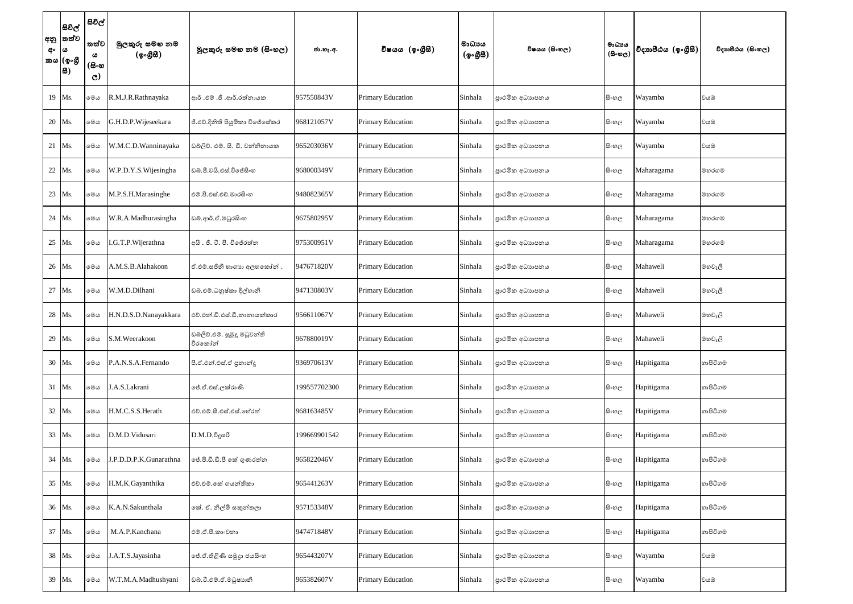| අං | සිවිල්<br> අනු  තත්ව<br>ه ا<br>කය (ඉංගී<br> සි) | සිවිල්<br>තත්ව<br>ය<br>(සිංහ<br>$\mathbf{C}$ | මුලකුරු සමහ නම<br>(ඉංගුිසි) | මූලකුරු සමහ නම (සිංහල)                  | ජා.හැ.අ.     | විෂයය (ඉංගීසී)           | මාධායය<br>(ඉංගීසි) | විෂයය (සිංහල)   | මාධාය<br>$(B \circ \mathfrak{v}_C)$ | විදාහපීඨය (ඉංගුීසී) | විදාහපීඨය (සිංහල) |
|----|-------------------------------------------------|----------------------------------------------|-----------------------------|-----------------------------------------|--------------|--------------------------|--------------------|-----------------|-------------------------------------|---------------------|-------------------|
|    | 19 Ms.                                          | මෙය                                          | R.M.J.R.Rathnayaka          | ආර් .එම් .ජී .ආර්.රත්නායක               | 957550843V   | <b>Primary Education</b> | Sinhala            | පාථමික අධාහපනය  | සි∘හල                               | Wayamba             | වයඹ               |
|    | 20 Ms.                                          | මෙය                                          | G.H.D.P.Wijeseekara         | ජී.එච්.දිනිති පියුමිකා විජේසේකර         | 968121057V   | <b>Primary Education</b> | Sinhala            | පාථමික අධාහපනය  | සිංහල                               | Wayamba             | වයඹ               |
|    | 21 Ms.                                          | මෙය                                          | W.M.C.D.Wanninayaka         | ඩබලිව්. එම්. සී. ඩී. වන්නිනායක          | 965203036V   | <b>Primary Education</b> | Sinhala            | පාථමික අධාහපනය  | සිංහල                               | Wayamba             | වයඹ               |
|    | 22 Ms.                                          | මෙය                                          | W.P.D.Y.S. Wijesingha       | ඩබ්.පී.වයි.එස්.විජේසිංහ                 | 968000349V   | <b>Primary Education</b> | Sinhala            | පාථමික අධාහපනය  | සි∘හල                               | Maharagama          | මහරගම             |
|    | 23 Ms.                                          | මෙය                                          | M.P.S.H.Marasinghe          | එම්.පී.එස්.එච්.මාරසිංහ                  | 948082365V   | <b>Primary Education</b> | Sinhala            | පාථමික අධාහපනය  | සි∘හල                               | Maharagama          | මහරගම             |
|    | 24 Ms.                                          | මෙය                                          | W.R.A.Madhurasingha         | ඩබ්.ආර්.ඒ.මධුරසිංහ                      | 967580295V   | Primary Education        | Sinhala            | පාථමික අධාහපනය  | සි∘හල                               | Maharagama          | මහරගම             |
|    | 25 Ms.                                          | මෙය                                          | I.G.T.P.Wijerathna          | අයි . ජී. ටී. පී. විජේරත්න              | 975300951V   | <b>Primary Education</b> | Sinhala            | පාථමික අධාහපනය  | සි∘හල                               | Maharagama          | මහරගම             |
|    | 26 Ms.                                          | මෙය                                          | A.M.S.B.Alahakoon           | ඒ.එම්.සජිනි හාගාහ අලහකෝන්.              | 947671820V   | <b>Primary Education</b> | Sinhala            | පාථමික අධාහපනය  | සිංහල                               | Mahaweli            | මහවැලි            |
|    | 27 Ms.                                          | මෙය                                          | W.M.D.Dilhani               | ඩබ්.එම්.ධනුෂ්කා දිල්හානි                | 947130803V   | Primary Education        | Sinhala            | පාථමික අධාහපනය  | සි∘හල                               | Mahaweli            | මහවැලි            |
|    | 28 Ms.                                          | මෙය                                          | H.N.D.S.D.Nanayakkara       | එච්.එන්.ඩී.එස්.ඩී.නානායක්කාර            | 956611067V   | <b>Primary Education</b> | Sinhala            | පාථමික අධාහපනය  | සි∘හල                               | Mahaweli            | මහවැලි            |
|    | 29 Ms.                                          | මෙය                                          | S.M.Weerakoon               | ඩබ්ලිව්.එම්. සුමුදු මධුවන්ති<br>වීරකෝන් | 967880019V   | Primary Education        | Sinhala            | පාථමික අධාහපනය  | සි∘හල                               | Mahaweli            | මහවැලි            |
|    | 30 Ms.                                          | මෙය                                          | P.A.N.S.A.Fernando          | පී.ඒ.එන්.එස්.ඒ පුනාන්දු                 | 936970613V   | <b>Primary Education</b> | Sinhala            | පුාථමික අධාහපනය | සිංහල                               | Hapitigama          | හාපිටිගම          |
|    | 31 Ms.                                          | මෙය                                          | J.A.S.Lakrani               | ජේ.ඒ.එස්.ලක්රාණි                        | 199557702300 | Primary Education        | Sinhala            | පාථමික අධාහපනය  | සි∘හල                               | Hapitigama          | හාපිටිගම          |
|    | 32 Ms.                                          | මෙය                                          | H.M.C.S.S.Herath            | එච්.එම්.සී.එස්.එස්.හේරත්                | 968163485V   | Primary Education        | Sinhala            | පාථමික අධාහපනය  | සි∘හල                               | Hapitigama          | හාපිටිගම          |
|    | 33 Ms.                                          | මෙය                                          | D.M.D.Vidusari              | $D.M.D.\delta$ දූසරී                    | 199669901542 | Primary Education        | Sinhala            | පාථමික අධාහපනය  | සි∘හල                               | Hapitigama          | හාපිටිගම          |
|    | 34 Ms.                                          | මෙය                                          | J.P.D.D.P.K.Gunarathna      | ජේ.පී.ඩී.ඩී.පී කේ ගුණරත්ත               | 965822046V   | Primary Education        | Sinhala            | පාථමික අධාහපනය  | සි∘හල                               | Hapitigama          | හාපිටිගම          |
|    | 35 Ms.                                          | මෙය                                          | H.M.K.Gayanthika            | එච්.එම්.කේ ගයන්තිකා                     | 965441263V   | <b>Primary Education</b> | Sinhala            | පාථමික අධාහපනය  | සිංහල                               | Hapitigama          | හාපිටිගම          |
|    | 36 Ms.                                          | මෙය                                          | K.A.N.Sakunthala            | කේ. ඒ. නිල්මි සකුන්තලා                  | 957153348V   | Primary Education        | Sinhala            | පාථමික අධාහපනය  | සි∘හල                               | Hapitigama          | හාපිටිගම          |
|    | 37 Ms.                                          | මෙය                                          | M.A.P.Kanchana              | එම්.ඒ.පී.කාංචනා                         | 947471848V   | Primary Education        | Sinhala            | පාථමික අධාහපනය  | සි∘හල                               | Hapitigama          | හාපිටිගම          |
|    | 38 Ms.                                          | මෙය                                          | J.A.T.S.Jayasinha           | ලේ.ඒ.තිළිණි සමූදා ජයසිංහ                | 965443207V   | <b>Primary Education</b> | Sinhala            | පුාථමික අධාහපනය | සි∘හල                               | Wayamba             | වයඹ               |
|    | 39 Ms.                                          | මෙය                                          | W.T.M.A.Madhushyani         | ඩබ්.ටී.එම්.ඒ.මධුෂාහනි                   | 965382607V   | Primary Education        | Sinhala            | පාථමික අධාහපනය  | සිංහල                               | Wayamba             | වයඹ               |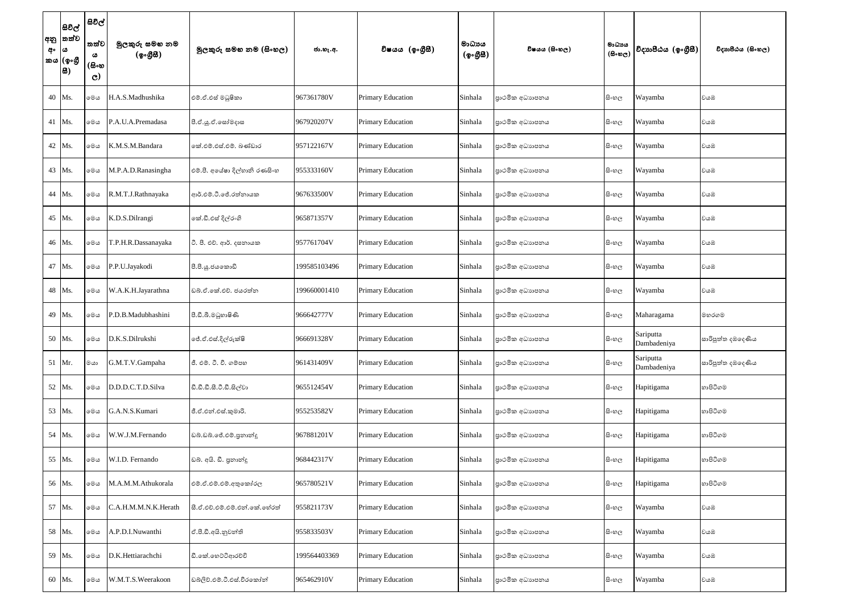| අං | සිවිල්<br> අනු  තත්ව<br> ය<br>'කය (ඉංගී<br> සි) | සිවිල්<br>තත්ව<br>ය<br>(සිංහ<br>$\mathbf{C}$ | මුලකුරු සමහ නම<br>(ඉංගුිසි) | මූලකුරු සමහ නම (සිංහල)        | ජා.හැ.අ.     | විෂයය (ඉංගීසී)           | මාධායය<br>(ඉංගීසී) | විෂයය (සිංහල)  | මාධාය<br>$(B \circ \mathfrak{v}_C)$ | විදාහපීඨය (ඉංගීසී)       | විදාහපීඨය (සිංහල) |
|----|-------------------------------------------------|----------------------------------------------|-----------------------------|-------------------------------|--------------|--------------------------|--------------------|----------------|-------------------------------------|--------------------------|-------------------|
|    | 40 Ms.                                          | මෙය                                          | H.A.S.Madhushika            | එම්.ඒ.එස් මධුෂිකා             | 967361780V   | <b>Primary Education</b> | Sinhala            | පාථමික අධාහපනය | සි∘හල                               | Wayamba                  | වයඹ               |
|    | 41 Ms.                                          | මෙය                                          | P.A.U.A.Premadasa           | පී.ඒ.ශූ.ඒ.සෝමදාස              | 967920207V   | <b>Primary Education</b> | Sinhala            | පාථමික අධාහපනය | සිංහල                               | Wayamba                  | වයඹ               |
|    | 42 Ms.                                          | මෙය                                          | K.M.S.M.Bandara             | කේ.එම්.එස්.එම්. බණ්ඩාර        | 957122167V   | <b>Primary Education</b> | Sinhala            | පාථමික අධාහපනය | සිංහල                               | Wayamba                  | වයඹ               |
|    | 43 Ms.                                          | මෙය                                          | M.P.A.D.Ranasingha          | එම්.පී. අයේෂා දිල්හානි රණසිංහ | 955333160V   | <b>Primary Education</b> | Sinhala            | පාථමික අධාහපනය | සි∘හල                               | Wayamba                  | වයඹ               |
|    | 44 Ms.                                          | මෙය                                          | R.M.T.J.Rathnayaka          | ආර්.එම්.ටී.ජේ.රත්තායක         | 967633500V   | <b>Primary Education</b> | Sinhala            | පාථමික අධාහපනය | සිංහල                               | Wayamba                  | වයඹ               |
|    | 45 Ms.                                          | මෙය                                          | K.D.S.Dilrangi              | කේ.ඩී.එස් දිල්රංගි            | 965871357V   | Primary Education        | Sinhala            | පාථමික අධාහපනය | සි∘හල                               | Wayamba                  | වයඹ               |
|    | 46 Ms.                                          | මෙය                                          | T.P.H.R.Dassanayaka         | ටී. පී. එච්. ආර්. දසනායක      | 957761704V   | <b>Primary Education</b> | Sinhala            | පාථමික අධාහපනය | සි∘හල                               | Wayamba                  | වයඹ               |
|    | 47 Ms.                                          | මෙය                                          | P.P.U.Jayakodi              | පී.පී.යූ.ජයකොඩි               | 199585103496 | <b>Primary Education</b> | Sinhala            | පාථමික අධාහපනය | සි∘හල                               | Wayamba                  | වයඹ               |
|    | 48 Ms.                                          | මෙය                                          | W.A.K.H.Jayarathna          | ඩබ්.ඒ.කේ.එච්. ජයරත්න          | 199660001410 | <b>Primary Education</b> | Sinhala            | පාථමික අධාහපනය | සි∘හල                               | Wayamba                  | වයඹ               |
|    | 49 Ms.                                          | මෙය                                          | P.D.B.Madubhashini          | පී.ඩී.බී.මධුහාෂිණි            | 966642777V   | <b>Primary Education</b> | Sinhala            | පාථමික අධාහපනය | සි∘හල                               | Maharagama               | මහරගම             |
|    | 50 Ms.                                          | මෙය                                          | D.K.S.Dilrukshi             | ේ.ඒ.එස්.දිල්රුක්ෂි            | 966691328V   | <b>Primary Education</b> | Sinhala            | පාථමික අධාහපනය | සි∘හල                               | Sariputta<br>Dambadeniya | සාරිපුත්ත දඹදෙණිය |
|    | 51 Mr.                                          | $\infty$                                     | G.M.T.V.Gampaha             | ජී. එම්. ටී. වී. ගම්පහ        | 961431409V   | <b>Primary Education</b> | Sinhala            | පාථමික අධාහපනය | සි∘හල                               | Sariputta<br>Dambadeniya | සාරිපුත්ත දඹදෙණිය |
|    | 52 Ms.                                          | මෙය                                          | D.D.D.C.T.D.Silva           | ඩී.ඩී.ඩී.සී.ටී.ඩී.සිල්වා      | 965512454V   | <b>Primary Education</b> | Sinhala            | පාථමික අධාහපනය | සි∘හල                               | Hapitigama               | හාපිටිගම          |
|    | 53 Ms.                                          | මෙය                                          | G.A.N.S.Kumari              | ජී.ඒ.එන්.එස්.කුමාරි.          | 955253582V   | <b>Primary Education</b> | Sinhala            | පාථමික අධාහපනය | සි∘හල                               | Hapitigama               | හාපිටිගම          |
|    | 54 Ms.                                          | මෙය                                          | W.W.J.M.Fernando            | ඩබ්.ඩබ්.ජේ.එම්.පුනාන්දූ       | 967881201V   | <b>Primary Education</b> | Sinhala            | පාථමික අධාහපනය | සිංහල                               | Hapitigama               | හාපිටිගම          |
|    | 55 Ms.                                          | මෙය                                          | W.I.D. Fernando             | ඩබ. අයි. ඩී. පුනාන්දු         | 968442317V   | <b>Primary Education</b> | Sinhala            | පාථමික අධාහපනය | සිංහල                               | Hapitigama               | හාපිටිගම          |
|    | 56 Ms.                                          | මෙය                                          | M.A.M.M.Athukorala          | එම්.ඒ.එම්.එම්.අතුකෝරල         | 965780521V   | <b>Primary Education</b> | Sinhala            | පාථමික අධාහපනය | සිංහල                               | Hapitigama               | හාපිටිගම          |
| 57 | Ms.                                             | මෙය                                          | C.A.H.M.M.N.K.Herath        | සී.ඒ.එච්.එම්.එම්.එන්.කේ.හේරත් | 955821173V   | <b>Primary Education</b> | Sinhala            | පාථමික අධාහපනය | සි∘හල                               | Wayamba                  | වයඹ               |
|    | 58 Ms.                                          | මෙය                                          | A.P.D.I.Nuwanthi            | ඒ.පී.ඩී.අයි.නුවන්ති           | 955833503V   | Primary Education        | Sinhala            | පාථමික අධාහපනය | සි∘හල                               | Wayamba                  | වයඹ               |
|    | 59 Ms.                                          | මෙය                                          | D.K.Hettiarachchi           | ඩී.කේ.හෙට්ටිආරච්චි            | 199564403369 | <b>Primary Education</b> | Sinhala            | පාථමික අධාහපනය | සි∘හල                               | Wayamba                  | වයඹ               |
|    | 60 Ms.                                          | මෙය                                          | W.M.T.S.Weerakoon           | ඩබ්ලිව්.එම්.ටී.එස්.වීරකෝන්    | 965462910V   | Primary Education        | Sinhala            | පාථමික අධාහපනය | සිංහල                               | Wayamba                  | වයඹ               |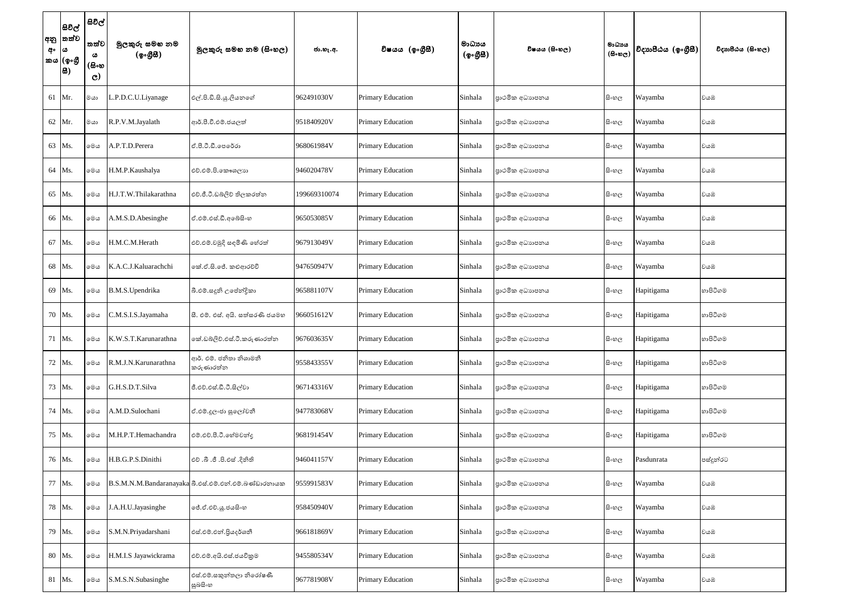| සිවිල්<br> අනු  තත්ව<br>අං  ය<br>'කය (ඉංගී<br> සි) | සිවිල්<br>තත්ව<br>ය<br>(සිංහ<br>$\mathbf{C}$ | මුලකුරු සමහ නම<br>(ඉංගුිසි) | මූලකුරු සමහ නම (සිංහල)                                | ජා.හැ.අ.     | විෂයය (ඉංගීසී)           | මාධායය<br>(ඉංගුිසි) | විෂයය (සිංහල)  | මාධාය<br>$(B \circ \mathfrak{v}_C)$ | විදාහපීඨය $(\phi_0, \mathcal{B}\mathcal{B})$ | විදාහපීඨය (සිංහල) |
|----------------------------------------------------|----------------------------------------------|-----------------------------|-------------------------------------------------------|--------------|--------------------------|---------------------|----------------|-------------------------------------|----------------------------------------------|-------------------|
| 61 Mr.                                             | මයා                                          | L.P.D.C.U.Liyanage          | එල්.පි.ඩි.සි.යු.ලියනගේ                                | 962491030V   | <b>Primary Education</b> | Sinhala             | පාථමික අධාහපනය | සි∘හල                               | Wayamba                                      | වයඹ               |
| 62 Mr.                                             | මයා                                          | R.P.V.M.Jayalath            | ආර්.පී.වී.එම්.ජයලත්                                   | 951840920V   | <b>Primary Education</b> | Sinhala             | පාථමික අධාහපනය | සි∘හල                               | Wayamba                                      | වයඹ               |
| 63 Ms.                                             | මෙය                                          | A.P.T.D.Perera              | ඒ.පී.ටී.ඩී.පෙරේරා                                     | 968061984V   | <b>Primary Education</b> | Sinhala             | පාථමික අධාහපනය | සි∘හල                               | Wayamba                                      | වයඹ               |
| 64 Ms.                                             | මෙය                                          | H.M.P.Kaushalya             | එච්.එම්.පි.කෞශලාභ                                     | 946020478V   | <b>Primary Education</b> | Sinhala             | පාථමික අධාහපනය | සි∘හල                               | Wayamba                                      | වයඹ               |
| 65 Ms.                                             | මෙය                                          | H.J.T.W.Thilakarathna       | එච්.ජී.ටී.ඩබ්ලිව් තිලකරත්ත                            | 199669310074 | <b>Primary Education</b> | Sinhala             | පාථමික අධාහපනය | සි∘හල                               | Wayamba                                      | වයඹ               |
| 66 Ms.                                             | මෙය                                          | A.M.S.D.Abesinghe           | ඒ.එම්.එස්.ඩී.අබේසිංහ                                  | 965053085V   | <b>Primary Education</b> | Sinhala             | පාථමික අධාහපනය | සි∘හල                               | Wayamba                                      | වයඹ               |
| 67 Ms.                                             | මෙය                                          | H.M.C.M.Herath              | එච්.එම්.චමුදි සඳමිණි හේරත්                            | 967913049V   | <b>Primary Education</b> | Sinhala             | පාථමික අධාහපනය | සි∘හල                               | Wayamba                                      | වයඹ               |
| 68 Ms.                                             | මෙය                                          | K.A.C.J.Kaluarachchi        | කේ.ඒ.සි.ජේ. කළුආරච්චි                                 | 947650947V   | <b>Primary Education</b> | Sinhala             | පාථමික අධාහපනය | සි∘හල                               | Wayamba                                      | වයඹ               |
| 69 Ms.                                             | මෙය                                          | B.M.S.Upendrika             | බී.එම්.සදූනි උපේන්දිකා                                | 965881107V   | <b>Primary Education</b> | Sinhala             | පාථමික අධාහපනය | සි∘හල                               | Hapitigama                                   | හාපිටිගම          |
| 70 Ms.                                             | මෙය                                          | C.M.S.I.S.Jayamaha          | සී. එම්. එස්. අයි. සත්සරණි ජයමහ                       | 966051612V   | <b>Primary Education</b> | Sinhala             | පාථමික අධාහපනය | සි∘හල                               | Hapitigama                                   | හාපිටිගම          |
| 71 Ms.                                             | මෙය                                          | K.W.S.T.Karunarathna        | කේ.ඩබ්ලිව්.එස්.ටී.කරුණාරත්න                           | 967603635V   | Primary Education        | Sinhala             | පාථමික අධාහපනය | සි∘හල                               | Hapitigama                                   | හාපිටිගම          |
| 72 Ms.                                             | මෙය                                          | R.M.J.N.Karunarathna        | ආර්. එම්. ජනිතා නිශාමනී<br>කරුණාරත්න                  | 955843355V   | Primary Education        | Sinhala             | පාථමික අධාහපනය | සි∘හල                               | Hapitigama                                   | හාපිටිගම          |
| 73 Ms.                                             | මෙය                                          | G.H.S.D.T.Silva             | ජී.එච්.එස්.ඩී.ටී.සිල්වා                               | 967143316V   | Primary Education        | Sinhala             | පාථමික අධාහපනය | සි∘හල                               | Hapitigama                                   | හාපිටිගම          |
| 74 Ms.                                             | මෙය                                          | A.M.D.Sulochani             | ඒ.එම්.දූලංජා සුලෝචනී                                  | 947783068V   | Primary Education        | Sinhala             | පාථමික අධාහපනය | සි∘හල                               | Hapitigama                                   | හාපිටිගම          |
| 75 Ms.                                             | මෙය                                          | M.H.P.T.Hemachandra         | එම්.එච්.පී.ටී.හේමචන්දු                                | 968191454V   | Primary Education        | Sinhala             | පාථමික අධාහපනය | සිංහල                               | Hapitigama                                   | හාපිටිගම          |
| 76 Ms.                                             | මෙය                                          | H.B.G.P.S.Dinithi           | එච් .බී .ජී .පි.එස් .දිනිති                           | 946041157V   | Primary Education        | Sinhala             | පාථමික අධාහපනය | සි∘හල                               | Pasdunrata                                   | පස්දුන්රට         |
| 77 Ms.                                             | මෙය                                          |                             | B.S.M.N.M.Bandaranayaka බී.එස්.එම්.එන්.එම්.බණ්ඩාරතායක | 955991583V   | Primary Education        | Sinhala             | පාථමික අධාහපනය | සි∘හල                               | Wayamba                                      | වයඹ               |
| 78 Ms.                                             | මෙය                                          | J.A.H.U.Jayasinghe          | ලජ්.ඒ.එච්.ශූ.ජයසිංහ                                   | 958450940V   | Primary Education        | Sinhala             | පාථමික අධාහපනය | සි∘හල                               | Wayamba                                      | වයඹ               |
| 79 Ms.                                             | මෙය                                          | S.M.N.Priyadarshani         | එස්.එම්.එන්.පියදර්ශනී                                 | 966181869V   | Primary Education        | Sinhala             | පාථමික අධාහපනය | සි∘හල                               | Wayamba                                      | වයඹ               |
| 80 Ms.                                             | මෙය                                          | H.M.I.S Jayawickrama        | එච්.එම්.අයි.එස්.ජයවිකුම                               | 945580534V   | Primary Education        | Sinhala             | පාථමික අධාහපනය | සි∘හල                               | Wayamba                                      | වයඹ               |
| 81 Ms.                                             | මෙය                                          | S.M.S.N.Subasinghe          | එස්.එම්.සකුත්තලා නිරෝෂණී<br>සුබසිංහ                   | 967781908V   | Primary Education        | Sinhala             | පාථමික අධාහපනය | සිංහල                               | Wayamba                                      | වයඹ               |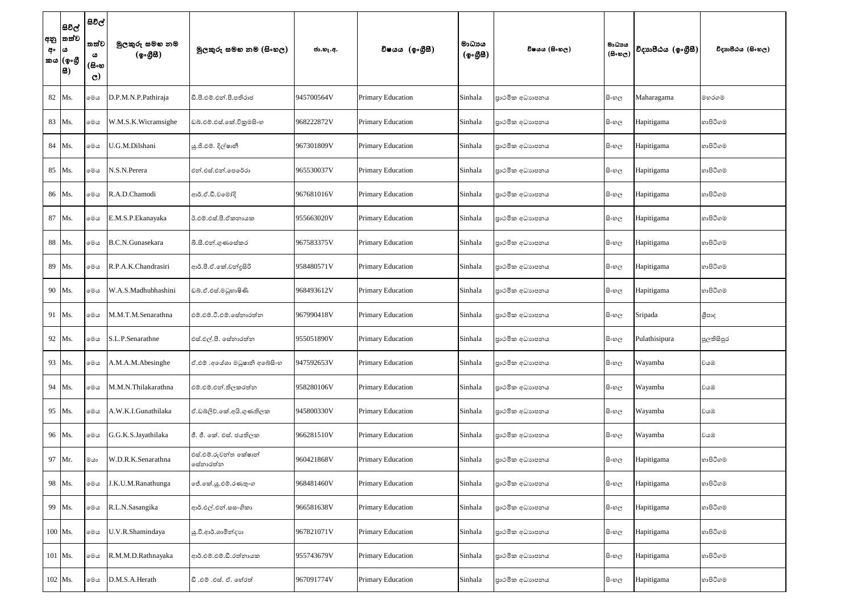| අං | සිවිල්<br> අනු  තත්ව<br>6ث  <br>කය (ඉංගී<br> සි) | සිවිල්<br>තත්ව<br>ය<br>(සිංහ<br>$\mathbf{C}$ | මුලකුරු සමහ නම<br>(ඉංගුිසි) | මූලකුරු සමහ නම (සිංහල)            | ජා.හැ.අ.   | විෂයය (ඉංගීසී)           | මාධාපය<br>(ඉංගුිසි) | විෂයය (සිංහල)   | මාධාය<br>$(B \circ \mathfrak{v}_C)$ | විදාහපීඨය $(\phi_0, \mathcal{B}\mathcal{B})$ | විදාහපීඨය (සිංහල) |
|----|--------------------------------------------------|----------------------------------------------|-----------------------------|-----------------------------------|------------|--------------------------|---------------------|-----------------|-------------------------------------|----------------------------------------------|-------------------|
|    | 82 Ms.                                           | මෙය                                          | D.P.M.N.P.Pathiraja         | ඩී.පී.එම්.එන්.පී.පතිරාජ           | 945700564V | <b>Primary Education</b> | Sinhala             | පාථමික අධාහපනය  | සිංහල                               | Maharagama                                   | මහරගම             |
|    | 83 Ms.                                           | මෙය                                          | W.M.S.K.Wicramsighe         | ඩබ්.එම්.එස්.කේ.විකුමසිංහ          | 968222872V | <b>Primary Education</b> | Sinhala             | පාථමික අධාහපනය  | සි∘හල                               | Hapitigama                                   | හාපිටිගම          |
|    | 84 Ms.                                           | මෙය                                          | U.G.M.Dilshani              | ශු.ජී.එම්. දිල්ෂානී               | 967301809V | <b>Primary Education</b> | Sinhala             | පාථමික අධාහපනය  | සිංහල                               | Hapitigama                                   | හාපිටිගම          |
|    | 85 Ms.                                           | මෙය                                          | N.S.N.Perera                | එන්.එස්.එන්.පෙරේරා                | 965530037V | Primary Education        | Sinhala             | පාථමික අධාහපනය  | සි∘හල                               | Hapitigama                                   | හාපිටිගම          |
|    | 86 Ms.                                           | මෙය                                          | R.A.D.Chamodi               | ආර්.ඒ.ඩී.චමෝදි                    | 967681016V | <b>Primary Education</b> | Sinhala             | පාථමික අධාහපනය  | සිංහල                               | Hapitigama                                   | හාපිටිගම          |
|    | 87 Ms.                                           | මෙය                                          | E.M.S.P.Ekanayaka           | ඊ.එම්.එස්.පී.ඒකනායක               | 955663020V | Primary Education        | Sinhala             | පාථමික අධාහපනය  | සි∘හල                               | Hapitigama                                   | හාපිටිගම          |
|    | 88 Ms.                                           | මෙය                                          | B.C.N.Gunasekara            | බී.සී.එන්.ගුණසේකර                 | 967583375V | Primary Education        | Sinhala             | පාථමික අධාහපනය  | සිංහල                               | Hapitigama                                   | හාපිටිගම          |
|    | 89 Ms.                                           | මෙය                                          | R.P.A.K.Chandrasiri         | ආර්.පී.ඒ.කේ.වන්දුසිරි             | 958480571V | <b>Primary Education</b> | Sinhala             | පාථමික අධාහපනය  | සිංහල                               | Hapitigama                                   | හාපිටිගම          |
|    | 90 Ms.                                           | මෙය                                          | W.A.S.Madhubhashini         | ඩබ්.ඒ.එස්.මධුහාෂිණි               | 968493612V | Primary Education        | Sinhala             | පුාථමික අධාහපනය | සි∘හල                               | Hapitigama                                   | හාපිටිගම          |
|    | 91 Ms.                                           | මෙය                                          | M.M.T.M.Senarathna          | එම්.එම්.ටී.එම්.සේනාරත්න           | 967990418V | <b>Primary Education</b> | Sinhala             | පුාථමික අධාහපනය | සිංහල                               | Sripada                                      | ශීපාද             |
|    | 92 Ms.                                           | මෙය                                          | S.L.P.Senarathne            | එස්.එල්.පී. සේනාරත්න              | 955051890V | Primary Education        | Sinhala             | පාථමික අධාහපනය  | සි∘හල                               | Pulathisipura                                | පුලතිසිපුර        |
|    | 93 Ms.                                           | මෙය                                          | A.M.A.M.Abesinghe           | ඒ.එම් .අයේශා මධූෂානි අබේසිංහ      | 947592653V | Primary Education        | Sinhala             | පාථමික අධාහපනය  | සිංහල                               | Wayamba                                      | වයඹ               |
|    | 94 Ms.                                           | මෙය                                          | M.M.N.Thilakarathna         | එම්.එම්.එන්.තිලකරත්න              | 958280106V | Primary Education        | Sinhala             | පාථමික අධාහපනය  | සිංහල                               | Wayamba                                      | වයඹ               |
|    | 95 Ms.                                           | මෙය                                          | A.W.K.I.Gunathilaka         | ඒ.ඩබ්ලිව්.කේ.අයි.ගුණතිලක          | 945800330V | Primary Education        | Sinhala             | පාථමික අධාහපනය  | සිංහල                               | Wayamba                                      | වයඹ               |
|    | 96 Ms.                                           | මෙය                                          | G.G.K.S.Jayathilaka         | ජී. ජී. කේ. එස්. ජයතිලක           | 966281510V | Primary Education        | Sinhala             | පුාථමික අධාහපනය | සිංහල                               | Wayamba                                      | වයඹ               |
|    | 97 Mr.                                           | මයා                                          | W.D.R.K.Senarathna          | එස්.එම්.රුවන්ත කේෂාන්<br>සේනාරත්න | 960421868V | Primary Education        | Sinhala             | පාථමික අධාහපනය  | සිංහල                               | Hapitigama                                   | හාපිටිගම          |
|    | 98 Ms.                                           | මෙය                                          | J.K.U.M.Ranathunga          | ේ.කේ.යූ.එම්.රණතුංග                | 968481460V | Primary Education        | Sinhala             | පාථමික අධාහපනය  | සි∘හල                               | Hapitigama                                   | හාපිටිගම          |
|    | 99 Ms.                                           | මෙය                                          | R.L.N.Sasangika             | ආර්.එල්.එන්.සසංගිකා               | 966581638V | Primary Education        | Sinhala             | පාථමික අධාහපනය  | සි∘හල                               | Hapitigama                                   | හාපිටිගම          |
|    | 100 Ms.                                          | මෙය                                          | U.V.R.Shamindaya            | ශු.වී.ආර්.ශාමින්දාහ               | 967821071V | Primary Education        | Sinhala             | පාථමික අධාහපනය  | සිංහල                               | Hapitigama                                   | හාපිටිගම          |
|    | 101 Ms.                                          | මෙය                                          | R.M.M.D.Rathnayaka          | ආර්.එම්.එම්.ඩී.රත්නායක            | 955743679V | Primary Education        | Sinhala             | පාථමික අධාහපනය  | සිංහල                               | Hapitigama                                   | හාපිටිගම          |
|    | 102 Ms.                                          | මෙය                                          | D.M.S.A.Herath              | ඩී .එම් .එස්. ඒ. හේරත්            | 967091774V | Primary Education        | Sinhala             | පාථමික අධාහපනය  | සිංහල                               | Hapitigama                                   | හාපිටිගම          |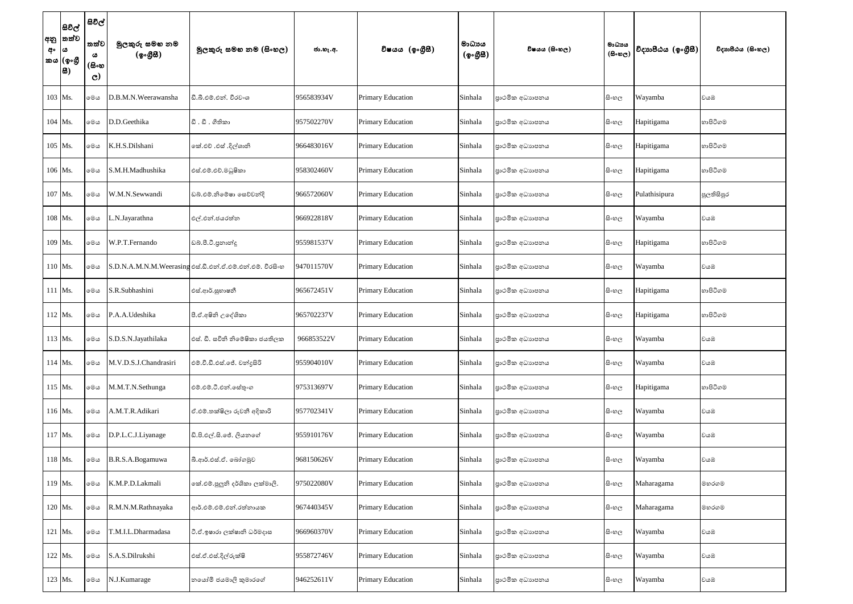| අං | සිවිල්<br> අනු  තත්ව<br> ය<br>'කය (ඉංගී<br> සි) | සිවිල්<br>තත්ව<br>ය<br>(සිංහ<br>$\mathbf{C}$ | මුලකුරු සමහ නම<br>(ඉංගුිසි) | මූලකුරු සමහ නම (සිංහල)                                    | ජා.හැ.අ.   | විෂයය (ඉංගීසී)           | මාධාපය<br>(ඉංගුිසි) | විෂයය (සිංහල)   | මාධාය<br>$(B \circ \mathfrak{v}_C)$ | විදාහපීඨය (ඉංගීසී) | විදාහපීඨය (සිංහල) |
|----|-------------------------------------------------|----------------------------------------------|-----------------------------|-----------------------------------------------------------|------------|--------------------------|---------------------|-----------------|-------------------------------------|--------------------|-------------------|
|    | 103 Ms.                                         | මෙය                                          | D.B.M.N.Weerawansha         | ඩී.බී.එම්.එන්. වීරවංශ                                     | 956583934V | Primary Education        | Sinhala             | පාථමික අධාහපනය  | සිංහල                               | Wayamba            | වයඹ               |
|    | $104$ Ms.                                       | මෙය                                          | D.D.Geethika                | ඩී. ඩී. ගීතිකා                                            | 957502270V | <b>Primary Education</b> | Sinhala             | පාථමික අධාහපනය  | සිංහල                               | Hapitigama         | හාපිටිගම          |
|    | 105 Ms.                                         | මෙය                                          | K.H.S.Dilshani              | කේ.එච් .එස් .දිල්ශානි                                     | 966483016V | <b>Primary Education</b> | Sinhala             | පාථමික අධාහපනය  | සිංහල                               | Hapitigama         | හාපිටිගම          |
|    | 106 Ms.                                         | මෙය                                          | S.M.H.Madhushika            | එස්.එම්.එච්.මධුෂිකා                                       | 958302460V | <b>Primary Education</b> | Sinhala             | පාථමික අධාහපනය  | සිංහල                               | Hapitigama         | හාපිටිගම          |
|    | 107 Ms.                                         | මෙය                                          | W.M.N.Sewwandi              | ඩබ්.එම්.නිමේෂා සෙව්වන්දි                                  | 966572060V | <b>Primary Education</b> | Sinhala             | පාථමික අධාහපනය  | සිංහල                               | Pulathisipura      | පුලතිසිපුර        |
|    | 108 Ms.                                         | මෙය                                          | .N.Jayarathna               | එල්.එන්.ජයරත්න                                            | 966922818V | Primary Education        | Sinhala             | පාථමික අධාහපනය  | සිංහල                               | Wayamba            | වයඹ               |
|    | 109 Ms.                                         | මෙය                                          | W.P.T.Fernando              | ඩබ්.පී.ටී.පුනාන්දු                                        | 955981537V | <b>Primary Education</b> | Sinhala             | පාථමික අධාහපනය  | සිංහල                               | Hapitigama         | හාපිටිගම          |
|    | 110 Ms.                                         | මෙය                                          |                             | S.D.N.A.M.N.M.Weerasing එස්.ඩී.එත්.ඒ.එම්.එත්.එම්. වීරසිංහ | 947011570V | <b>Primary Education</b> | Sinhala             | පාථමික අධාහපනය  | සිංහල                               | Wayamba            | වයඹ               |
|    | 111 Ms.                                         | මෙය                                          | S.R.Subhashini              | එස්.ආර්.සුභාෂනී                                           | 965672451V | <b>Primary Education</b> | Sinhala             | පාථමික අධාහපනය  | සි∘හල                               | Hapitigama         | හාපිටිගම          |
|    | $112$ Ms.                                       | මෙය                                          | P.A.A.Udeshika              | පී.ඒ.අෂිනි උදේශිකා                                        | 965702237V | <b>Primary Education</b> | Sinhala             | පාථමික අධාහපනය  | සිංහල                               | Hapitigama         | හාපිටිගම          |
|    | 113 Ms.                                         | මෙය                                          | S.D.S.N.Jayathilaka         | එස්. ඩී. සචිති නිමේෂිකා ජයතිලක                            | 966853522V | Primary Education        | Sinhala             | පාථමික අධාහපනය  | සි∘හල                               | Wayamba            | වයඹ               |
|    | 114 Ms.                                         | මෙය                                          | M.V.D.S.J.Chandrasiri       | එම්.වී.ඩී.එස්.ජේ. චන්දුසිරි                               | 955904010V | Primary Education        | Sinhala             | පාථමික අධාහපනය  | සිංහල                               | Wayamba            | වයඹ               |
|    | 115 Ms.                                         | මෙය                                          | M.M.T.N.Sethunga            | එම්.එම්.ටී.එන්.සේතුංග                                     | 975313697V | Primary Education        | Sinhala             | පාථමික අධාහපනය  | සි∘හල                               | Hapitigama         | හාපිටිගම          |
|    | 116 Ms.                                         | මෙය                                          | A.M.T.R.Adikari             | ඒ.එම්.තක්ෂිලා රුවනී අදිකාරි                               | 957702341V | Primary Education        | Sinhala             | පාථමික අධාහපනය  | සිංහල                               | Wayamba            | වයඹ               |
|    | 117 Ms.                                         | මෙය                                          | D.P.L.C.J.Liyanage          | ඩි.පි.එල්.සි.ජේ. ලියනගේ                                   | 955910176V | Primary Education        | Sinhala             | පාථමික අධාහපනය  | සිංහල                               | Wayamba            | වයඹ               |
|    | 118 Ms.                                         | මෙය                                          | B.R.S.A.Bogamuwa            | බී.ආර්.එස්.ඒ. බෝගමුව                                      | 968150626V | Primary Education        | Sinhala             | පාථමික අධාහපනය  | සි∘හල                               | Wayamba            | වයඹ               |
|    | 119 Ms.                                         | මෙය                                          | K.M.P.D.Lakmali             | කේ.එම්.පුලුනි දර්ශිකා ලක්මාලි.                            | 975022080V | Primary Education        | Sinhala             | පාථමික අධාහපනය  | සි∘හල                               | Maharagama         | මහරගම             |
|    | 120 Ms.                                         | මෙය                                          | R.M.N.M.Rathnayaka          | ආර්.එම්.එම්.එන්.රත්නායක                                   | 967440345V | Primary Education        | Sinhala             | පාථමික අධාහපනය  | සිංහල                               | Maharagama         | මහරගම             |
|    | 121 Ms.                                         | මෙය                                          | T.M.I.L.Dharmadasa          | ටී.ඒ.ඉෂාරා ලක්ෂානි ධර්මදාස                                | 966960370V | Primary Education        | Sinhala             | පාථමික අධාහපනය  | සිංහල                               | Wayamba            | වයඹ               |
|    | 122 Ms.                                         | මෙය                                          | S.A.S.Dilrukshi             | එස්.ඒ.එස්.දිල්රුක්ෂි                                      | 955872746V | Primary Education        | Sinhala             | පුාථමික අධාහපනය | සි∘හල                               | Wayamba            | වයඹ               |
|    | 123 Ms.                                         | $\circ\circ\circ$                            | N.J.Kumarage                | නයෝමි ජයමාලි කුමාරගේ                                      | 946252611V | Primary Education        | Sinhala             | පාථමික අධාහපනය  | සි∘හල                               | Wayamba            | වයඹ               |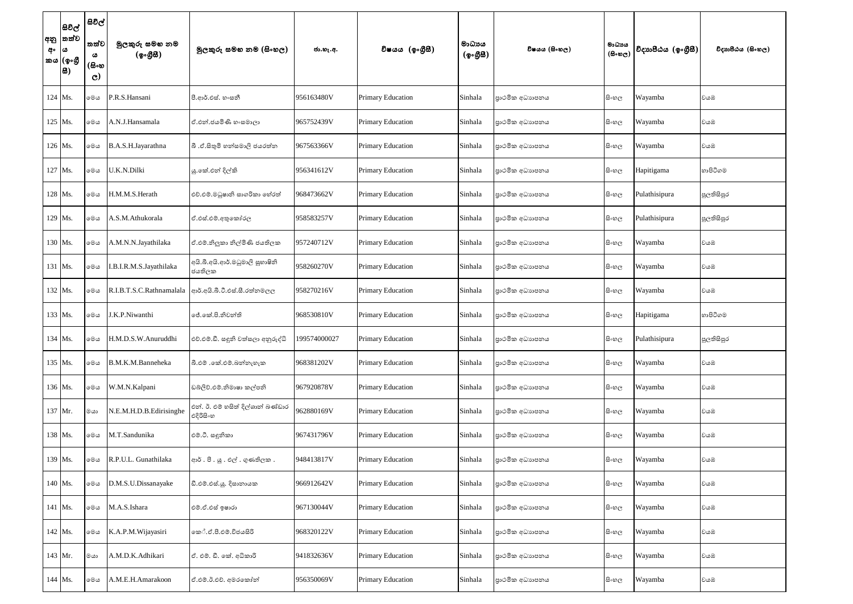| අං | සිවිල්<br> අනු  තත්ව<br> ය<br>'කය (ඉංගී<br> සි) | සිවිල්<br>තත්ව<br>ය<br>(සිංහ<br>$\mathbf{C}$ | මුලකුරු සමහ නම<br>(ඉංගුිසි) | මූලකුරු සමහ නම (සිංහල)                                 | ජා.හැ.අ.     | විෂයය (ඉංගීසී)           | මාධායය<br>(ඉංගුිසි) | විෂයය (සිංහල)   | මාධාය<br>$(B \circ \mathfrak{v}_C)$ | විදාහපීඨය (ඉංගීසී) | විදාහපීඨය (සිංහල) |
|----|-------------------------------------------------|----------------------------------------------|-----------------------------|--------------------------------------------------------|--------------|--------------------------|---------------------|-----------------|-------------------------------------|--------------------|-------------------|
|    | 124 Ms.                                         | මෙය                                          | P.R.S.Hansani               | පී.ආර්.එස්. හංසනී                                      | 956163480V   | <b>Primary Education</b> | Sinhala             | පාථමික අධාහපනය  | සි∘හල                               | Wayamba            | වයඹ               |
|    | 125 Ms.                                         | මෙය                                          | A.N.J.Hansamala             | ඒ.එන්.ජයමිණි හංසමාලා                                   | 965752439V   | <b>Primary Education</b> | Sinhala             | පාථමික අධාහපනය  | සි∘හල                               | Wayamba            | වයඹ               |
|    | 126 Ms.                                         | මෙය                                          | B.A.S.H.Jayarathna          | බී .ඒ.සිතුමි හත්සමාලි ජයරත්ත                           | 967563366V   | <b>Primary Education</b> | Sinhala             | පාථමික අධාහපනය  | සි∘හල                               | Wayamba            | වයඹ               |
|    | 127 Ms.                                         | මෙය                                          | U.K.N.Dilki                 | යු.කේ.එන් දිල්කි                                       | 956341612V   | <b>Primary Education</b> | Sinhala             | පාථමික අධාහපනය  | සි∘හල                               | Hapitigama         | හාපිටිගම          |
|    | 128 Ms.                                         | මෙය                                          | H.M.M.S.Herath              | එච්.එම්.මධූෂානි සාගරිකා හේරත්                          | 968473662V   | <b>Primary Education</b> | Sinhala             | පාථමික අධාහපනය  | සි∘හල                               | Pulathisipura      | පුලතිසිපුර        |
|    | 129 Ms.                                         | මෙය                                          | A.S.M.Athukorala            | ඒ.එස්.එම්.අතුකෝරල                                      | 958583257V   | Primary Education        | Sinhala             | පාථමික අධාහපනය  | සි∘හල                               | Pulathisipura      | පුලතිසිපුර        |
|    | 130 Ms.                                         | මෙය                                          | A.M.N.N.Jayathilaka         | ඒ.එම්.නිලූකා නිල්මිණි ජයතිලක                           | 957240712V   | <b>Primary Education</b> | Sinhala             | පාථමික අධාහපනය  | සි∘හල                               | Wayamba            | වයඹ               |
|    | 131 Ms.                                         | මෙය                                          | I.B.I.R.M.S.Jayathilaka     | අයි.බී.අයි.ආර්.මධුමාලි සුභාෂිනි<br>ජයතිලක              | 958260270V   | <b>Primary Education</b> | Sinhala             | පාථමික අධාහපනය  | සි∘හල                               | Wayamba            | වයඹ               |
|    | 132 Ms.                                         | මෙය                                          |                             | R.I.B.T.S.C.Rathnamalala අාර්.අයි.බී.ටී.එස්.සී.රත්තමලල | 958270216V   | <b>Primary Education</b> | Sinhala             | පාථමික අධාහපනය  | සි∘හල                               | Wayamba            | වයඹ               |
|    | 133 Ms.                                         | මෙය                                          | J.K.P.Niwanthi              | ජේ.කේ.පි.නිවන්ති                                       | 968530810V   | <b>Primary Education</b> | Sinhala             | පාථමික අධාහපනය  | සි∘හල                               | Hapitigama         | හාපිටිගම          |
|    | 134 Ms.                                         | මෙය                                          | H.M.D.S.W.Anuruddhi         | එච්.එම්.ඩී. සඳුනි වත්සලා අනුරුද්ධි                     | 199574000027 | Primary Education        | Sinhala             | පාථමික අධාහපනය  | සි∘හල                               | Pulathisipura      | පුලතිසිපුර        |
|    | 135 Ms.                                         | මෙය                                          | B.M.K.M.Banneheka           | බී.එම් .කේ.එම්.බන්නැහැක                                | 968381202V   | <b>Primary Education</b> | Sinhala             | පුාථමික අධාහපනය | සිංහල                               | Wayamba            | වයඹ               |
|    | 136 Ms.                                         | මෙය                                          | W.M.N.Kalpani               | ඩබ්ලිව්.එම්.නිමාෂා කල්පනි                              | 967920878V   | Primary Education        | Sinhala             | පාථමික අධාහපනය  | සි∘හල                               | Wayamba            | වයඹ               |
|    | 137 Mr.                                         | මයා                                          | N.E.M.H.D.B.Edirisinghe     | එන්. ඊ. එම් හසිත් දිල්ශාන් බණ්ඩාර<br>එදිරිසිංහ         | 962880169V   | Primary Education        | Sinhala             | පාථමික අධාහපනය  | සි∘හල                               | Wayamba            | වයඹ               |
|    | 138 Ms.                                         | මෙය                                          | M.T.Sandunika               | එම්.ටී. සඳුනිකා                                        | 967431796V   | Primary Education        | Sinhala             | පාථමික අධාහපනය  | සි∘හල                               | Wayamba            | වයඹ               |
|    | 139 Ms.                                         | මෙය                                          | R.P.U.L. Gunathilaka        | ආර්.පී.යූ.එල්.ගුණතිලක.                                 | 948413817V   | <b>Primary Education</b> | Sinhala             | පාථමික අධාහපනය  | සි∘හල                               | Wayamba            | වයඹ               |
|    | 140 Ms.                                         | මෙය                                          | D.M.S.U.Dissanayake         | ඩී.එම්.එස්.යූ. දිසානායක                                | 966912642V   | <b>Primary Education</b> | Sinhala             | පාථමික අධාහපනය  | සිංහල                               | Wayamba            | වයඹ               |
|    | 141 Ms.                                         | මෙය                                          | M.A.S.Ishara                | එම්.ඒ.එස් ඉෂාරා                                        | 967130044V   | Primary Education        | Sinhala             | පාථමික අධාහපනය  | සි∘හල                               | Wayamba            | වයඹ               |
|    | 142 Ms.                                         | මෙය                                          | K.A.P.M.Wijayasiri          | කේ.ඒ.පී.එම්.විජයසිරි                                   | 968320122V   | Primary Education        | Sinhala             | පාථමික අධාහපනය  | සි∘හල                               | Wayamba            | වයඹ               |
|    | 143 Mr.                                         | මයා                                          | A.M.D.K.Adhikari            | ඒ. එම්. ඩී. කේ. අධිකාරි                                | 941832636V   | Primary Education        | Sinhala             | පාථමික අධාහපනය  | සිංහල                               | Wayamba            | වයඹ               |
|    | 144 Ms.                                         | මෙය                                          | A.M.E.H.Amarakoon           | ඒ.එම්.ඊ.එච්. අමරකෝන්                                   | 956350069V   | Primary Education        | Sinhala             | පාථමික අධාහපනය  | සිංහල                               | Wayamba            | වයඹ               |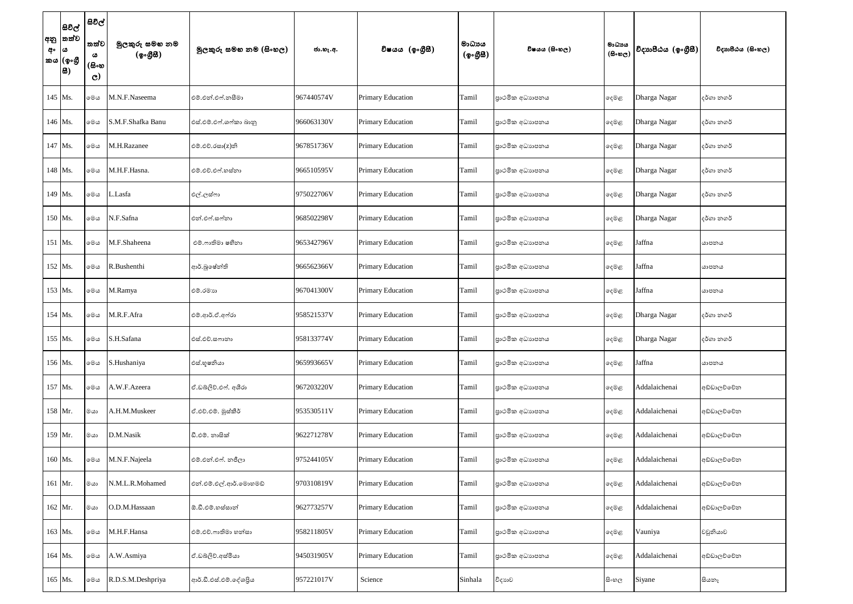| අං | සිවිල්<br> අනු  තත්ව<br>$\omega$<br>කය $ $ (ඉංගී<br> 8) | සිවිල්<br>තත්ව<br>ය<br>(සිංහ<br>$\mathcal{C}$ | මුලකුරු සමහ නම<br>(ඉංගීසී) | මූලකුරු සමහ නම (සිංහල) | ජා.හැ.අ.   | විෂයය (ඉංගීසී)           | මාධායය<br>(ඉංගීසී) | විෂයය (සිංහල)  | මාධායය<br>$(B \circ \mathfrak{v}_C)$ | විදාහපීඨය (ඉංගීසී) | විදාහපීඨය (සිංහල) |
|----|---------------------------------------------------------|-----------------------------------------------|----------------------------|------------------------|------------|--------------------------|--------------------|----------------|--------------------------------------|--------------------|-------------------|
|    | 145 Ms.                                                 | මෙය                                           | M.N.F.Naseema              | එම්.එන්.එෆ්.නසීමා      | 967440574V | <b>Primary Education</b> | Tamil              | පාථමික අධාහපනය | දෙමළ                                 | Dharga Nagar       | දර්ගා නගර්        |
|    | 146 Ms.                                                 | මෙය                                           | S.M.F.Shafka Banu          | එස්.එම්.එෆ්.ශෆ්කා බානු | 966063130V | <b>Primary Education</b> | Tamil              | පාථමික අධාහපනය | දෙමළ                                 | Dharga Nagar       | දර්ගා නගර්        |
|    | 147 Ms.                                                 | මෙය                                           | M.H.Razanee                | එම්.එච්.රසා(z)නි       | 967851736V | <b>Primary Education</b> | Tamil              | පාථමික අධාහපනය | දෙමළ                                 | Dharga Nagar       | දර්ගා නගර්        |
|    | 148 Ms.                                                 | මෙය                                           | M.H.F.Hasna.               | එම්.එච්.එෆ්.හස්නා      | 966510595V | <b>Primary Education</b> | Tamil              | පාථමික අධාහපනය | දෙමළ                                 | Dharga Nagar       | දර්ගා නගර්        |
|    | 149 Ms.                                                 | මෙය                                           | Lasfa                      | එල්.ලස්ෆා              | 975022706V | <b>Primary Education</b> | Tamil              | පාථමික අධාහපනය | දෙමළ                                 | Dharga Nagar       | දර්ගා නගර්        |
|    | 150 Ms.                                                 | මෙය                                           | N.F.Safna                  | එන්.එෆ්.සෆ්නා          | 968502298V | <b>Primary Education</b> | Tamil              | පාථමික අධාහපනය | දෙමළ                                 | Dharga Nagar       | දර්ගා නගර්        |
|    | 151 Ms.                                                 | මෙය                                           | M.F.Shaheena               | එම්.ෆාතිමා ෂහීනා       | 965342796V | <b>Primary Education</b> | Tamil              | පාථමික අධාහපනය | දෙමළ                                 | Jaffna             | යාපනය             |
|    | 152 Ms.                                                 | මෙය                                           | R.Bushenthi                | ආර්.බූෂේන්ති           | 966562366V | <b>Primary Education</b> | Tamil              | පාථමික අධාහපනය | දෙමළ                                 | Jaffna             | යාපනය             |
|    | 153 Ms.                                                 | මෙය                                           | M.Ramya                    | එම්.රමාහ               | 967041300V | <b>Primary Education</b> | Tamil              | පාථමික අධාහපනය | දෙමළ                                 | Jaffna             | යාපනය             |
|    | 154 Ms.                                                 | මෙය                                           | M.R.F.Afra                 | එම්.ආර්.ඒ.අෆ්රා        | 958521537V | <b>Primary Education</b> | Tamil              | පාථමික අධාහපනය | දෙමළ                                 | Dharga Nagar       | දර්ගා නගර්        |
|    | 155 Ms.                                                 | මෙය                                           | S.H.Safana                 | එස්.එච්.සෆානා          | 958133774V | Primary Education        | Tamil              | පාථමික අධාහපනය | ෫ෙළ                                  | Dharga Nagar       | දර්ගා නගර්        |
|    | 156 Ms.                                                 | මෙය                                           | S.Hushaniya                | එස්.භූෂනියා            | 965993665V | <b>Primary Education</b> | Tamil              | පාථමික අධාහපනය | දෙමළ                                 | Jaffna             | යාපනය             |
|    | 157 Ms.                                                 | මෙය                                           | A.W.F.Azeera               | ඒ.ඩබ්ලිව්.එෆ්. අශීරා   | 967203220V | <b>Primary Education</b> | Tamil              | පාථමික අධාහපනය | දෙමළ                                 | Addalaichenai      | අඩ්ඩාලව්වේන       |
|    | 158 Mr.                                                 | මයා                                           | A.H.M.Muskeer              | ඒ.එච්.එම්. මුස්කීර්    | 953530511V | <b>Primary Education</b> | Tamil              | පාථමික අධාහපනය | දෙමළ                                 | Addalaichenai      | අඩ්ඩාලච්චේන       |
|    | 159 Mr.                                                 | ගය                                            | D.M.Nasik                  | ඩී.එම්. නාසික්         | 962271278V | <b>Primary Education</b> | Tamil              | පාථමික අධාහපනය | දෙමළ                                 | Addalaichenai      | අඩ්ඩාලච්චේන       |
|    | 160 Ms.                                                 | මෙය                                           | M.N.F.Najeela              | එම්.එන්.එෆ්. නජීලා     | 975244105V | <b>Primary Education</b> | Tamil              | පාථමික අධාහපනය | දෙමළ                                 | Addalaichenai      | අඩ්ඩාලච්චේන       |
|    | 161 Mr.                                                 | මයා                                           | N.M.L.R.Mohamed            | එන්.එම්.එල්.ආර්.මොහමඩ් | 970310819V | <b>Primary Education</b> | Tamil              | පාථමික අධාහපනය | දෙමළ                                 | Addalaichenai      | අඩ්ඩාලච්චේන       |
|    | 162 Mr.                                                 | ගය                                            | O.D.M.Hassaan              | ඕ.ඩී.එම්.හස්සාන්       | 962773257V | <b>Primary Education</b> | Tamil              | පාථමික අධාහපනය | දෙමළ                                 | Addalaichenai      | අඩ්ඩාලව්වේන       |
|    | 163 Ms.                                                 | මෙය                                           | M.H.F.Hansa                | එම්.එච්.ෆාතිමා හන්සා   | 958211805V | <b>Primary Education</b> | Tamil              | පාථමික අධාහපනය | දෙමළ                                 | Vauniya            | වවුනියාව          |
|    | 164 Ms.                                                 | මෙය                                           | A.W.Asmiya                 | ඒ.ඩබ්ලිව්.අස්මියා      | 945031905V | Primary Education        | Tamil              | පාථමික අධාහපනය | දෙමළ                                 | Addalaichenai      | අඩ්ඩාලච්චේන       |
|    | 165 Ms.                                                 | මෙය                                           | R.D.S.M.Deshpriya          | ආර්.ඩී.එස්.එම්.දේශපිය  | 957221017V | Science                  | Sinhala            | විදාහව         | සි∘හල                                | Siyane             | සියනෑ             |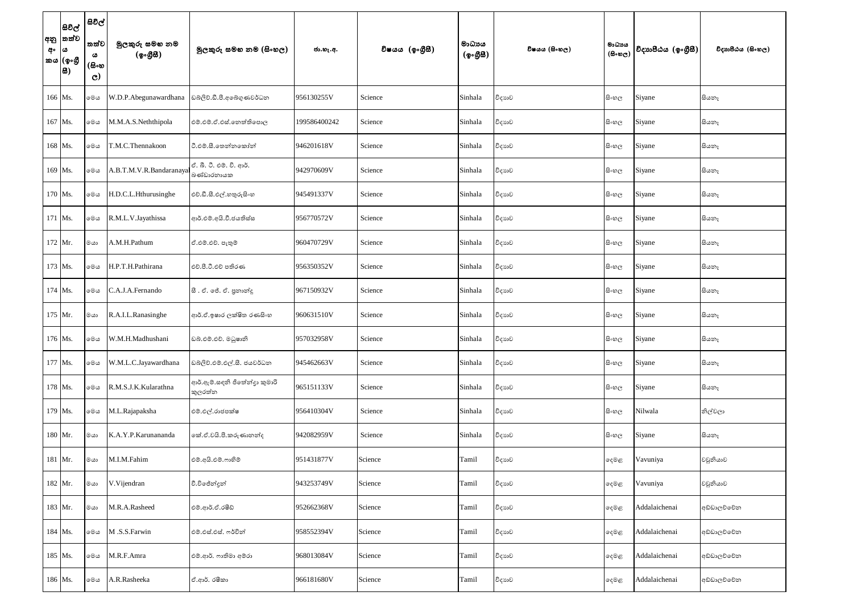| අං | සිවිල්<br> අනු  තත්ව<br>∣ ය<br> කය (ඉංගී<br> සි) | සිවිල්<br>තත්ව<br>ය<br>(සිංහ<br>$\mathbf{C}$ | මුලකුරු සමහ නම<br>(ඉංගුිසි) | මූලකුරු සමහ නම (සිංහල)                  | ජා.හැ.අ.     | විෂයය (ඉංගීසී) | මාධායය<br>(ඉංගීසී) | විෂයය (සිංහල) | මාධායය<br>$(B \circ \mathfrak{v}_C)$ | විදාහපීඨය (ඉංගීසී) | විදාහපීඨය (සිංහල) |
|----|--------------------------------------------------|----------------------------------------------|-----------------------------|-----------------------------------------|--------------|----------------|--------------------|---------------|--------------------------------------|--------------------|-------------------|
|    | 166 Ms.                                          | මෙය                                          | W.D.P.Abegunawardhana       | ඩබ්ලිව්.ඩී.පී.අබේගුණවර්ධන               | 956130255V   | Science        | Sinhala            | විදාහව        | සි∘හල                                | Siyane             | සියතෑ             |
|    | 167 Ms.                                          | මෙය                                          | M.M.A.S.Neththipola         | එම්.එම්.ඒ.එස්.තෙත්තිපොල                 | 199586400242 | Science        | Sinhala            | විදාහව        | සි∘හල                                | Siyane             | සියතෑ             |
|    | 168 Ms.                                          | මෙය                                          | T.M.C.Thennakoon            | ථි.එම්.සී.තෙන්නකෝන්                     | 946201618V   | Science        | Sinhala            | විදාහව        | සි∘හල                                | Siyane             | සියතෑ             |
|    | 169 Ms.                                          | මෙය                                          | A.B.T.M.V.R.Bandaranayal    | ඒ. බී. ටී. එම්. වි. ආර්.<br>බණ්ඩාරනායක  | 942970609V   | Science        | Sinhala            | විදාහව        | සි∘හල                                | Siyane             | සියතෑ             |
|    | 170 Ms.                                          | මෙය                                          | H.D.C.L.Hthurusinghe        | එච්.ඩී.සී.එල්.හතුරුසිංහ                 | 945491337V   | Science        | Sinhala            | විදාහව        | සි∘හල                                | Siyane             | සියතෑ             |
|    | 171 Ms.                                          | මෙය                                          | R.M.L.V.Jayathissa          | ආර්.එම්.අයි.වී.ජයතිස්ස                  | 956770572V   | Science        | Sinhala            | විදාහව        | සි∘හල                                | Siyane             | සියනෑ             |
|    | $172$ Mr.                                        | ගය                                           | A.M.H.Pathum                | ඒ.එම්.එච්. පැතුම්                       | 960470729V   | Science        | Sinhala            | විදාහව        | සි∘හල                                | Siyane             | සියතෑ             |
|    | 173 Ms.                                          | මෙය                                          | H.P.T.H.Pathirana           | එච්.පී.ටී.එච් පතිරණ                     | 956350352V   | Science        | Sinhala            | විදාහව        | සි∘හල                                | Siyane             | සියතෑ             |
|    | 174 Ms.                                          | මෙය                                          | C.A.J.A.Fernando            | සී. ඒ. ජේ. ඒ. පුනාන්දු                  | 967150932V   | Science        | Sinhala            | විදාහව        | සි∘හල                                | Siyane             | සියතෑ             |
|    | 175 Mr.                                          | $\infty$                                     | R.A.I.L.Ranasinghe          | ආර්.ඒ.ඉෂාර ලක්ෂිත රණසිංහ                | 960631510V   | Science        | Sinhala            | විදාහව        | සි∘හල                                | Siyane             | සියනෑ             |
|    | 176 Ms.                                          | මෙය                                          | W.M.H.Madhushani            | ඩබ්.එම්.එච්. මධුෂානි                    | 957032958V   | Science        | Sinhala            | විදාහව        | සි∘හල                                | Siyane             | සියනෑ             |
|    | 177 Ms.                                          | මෙය                                          | W.M.L.C.Jayawardhana        | ඩබ්ලිව්.එම්.එල්.සී. ජයවර්ධන             | 945462663V   | Science        | Sinhala            | විදාහව        | සි∘හල                                | Siyane             | සියනෑ             |
|    | 178 Ms.                                          | මෙය                                          | R.M.S.J.K.Kularathna        | ආර්.ඇම්.සඳනි ජිතේත්දා කුමාරි<br>කුලරත්න | 965151133V   | Science        | Sinhala            | විදාහව        | සි∘හල                                | Siyane             | සියනෑ             |
|    | 179 Ms.                                          | මෙය                                          | M.L.Rajapaksha              | එම්.එල්.රාජපක්ෂ                         | 956410304V   | Science        | Sinhala            | විදාහව        | සිංහල                                | Nilwala            | නිල්වලා           |
|    | 180 Mr.                                          | $rac{1}{2}$                                  | K.A.Y.P.Karunananda         | කේ.ඒ.වයි.පී.කරුණානන්ද                   | 942082959V   | Science        | Sinhala            | විදාහව        | සිංහල                                | Siyane             | සියනෑ             |
|    | 181 Mr.                                          | මයා                                          | M.I.M.Fahim                 | එම්.අයි.එම්.ෆාහිම්                      | 951431877V   | Science        | Tamil              | විදාහව        | දෙමළ                                 | Vavuniya           | වවුනියාව          |
|    | 182 Mr.                                          | $rac{1}{2}$                                  | V.Vijendran                 | වී.විඡේන්දුන්                           | 943253749V   | Science        | Tamil              | විදාහව        | දෙමළ                                 | Vavuniya           | වවුනියාව          |
|    | 183 Mr.                                          | මයා                                          | M.R.A.Rasheed               | එම්.ආර්.ඒ.රෂීඩ්                         | 952662368V   | Science        | Tamil              | විදාහව        | දෙමළ                                 | Addalaichenai      | අඩ්ඩාලච්චේන       |
|    | 184 Ms.                                          | මෙය                                          | M.S.S.Farwin                | එම්.එස්.එස්. ෆර්වින්                    | 958552394V   | Science        | Tamil              | විදාහව        | දෙමළ                                 | Addalaichenai      | අඩ්ඩාලච්චේන       |
|    | 185 Ms.                                          | මෙය                                          | M.R.F.Amra                  | එම්.ආර්. ෆාතිමා අම්රා                   | 968013084V   | Science        | Tamil              | විදාහව        | දෙමළ                                 | Addalaichenai      | අඩ්ඩාලච්චේන       |
|    | 186 Ms.                                          | මෙය                                          | A.R.Rasheeka                | ඒ.ආර්. රෂිකා                            | 966181680V   | Science        | Tamil              | විදාහව        | දෙමළ                                 | Addalaichenai      | අඩ්ඩාලච්චේන       |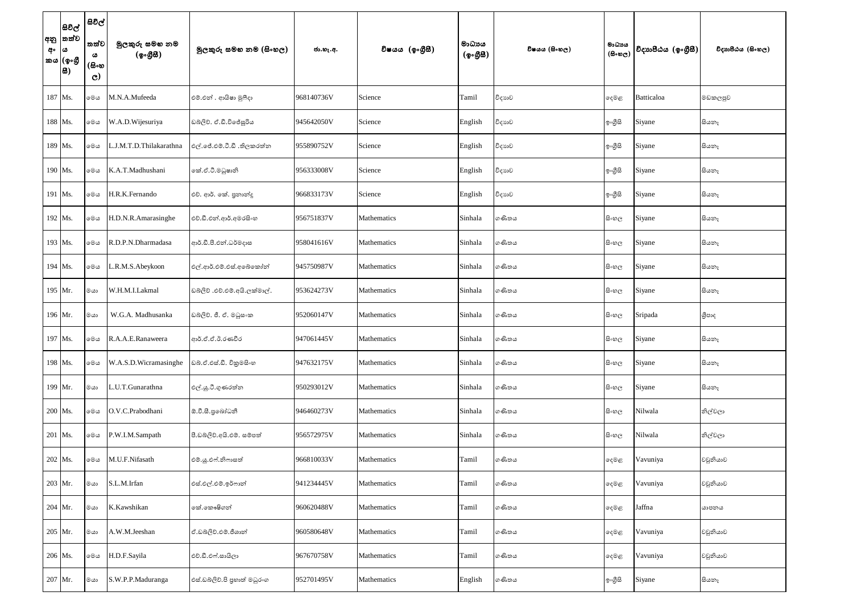| අං | සිවිල්<br> අනු  තත්ව<br>ය<br>'කය (ඉංගී<br> සි) | සිවිල්<br>'තත්ව<br>ය<br>(සිංහ<br>$\mathbf{C}$ | මුලකුරු සමහ නම<br>(ඉංගුිසි) | මූලකුරු සමහ නම (සිංහල)       | ජා.හැ.අ.   | විෂයය (ඉංගීසී) | මාධායය<br>(ඉංගීසී) | විෂයය (සිංහල) | මාධාපය<br>$(B \circ \omega_C)$ | විදාහපීඨය (ඉංගීසී) | විදාහපීඨය (සිංහල) |
|----|------------------------------------------------|-----------------------------------------------|-----------------------------|------------------------------|------------|----------------|--------------------|---------------|--------------------------------|--------------------|-------------------|
|    | 187 Ms.                                        | මෙය                                           | M.N.A.Mufeeda               | එම්.එන් . ආයිෂා මුෆීදා       | 968140736V | Science        | Tamil              | විදාහව        | දෙමළ                           | Batticaloa         | මඩකලපුව           |
|    | 188 Ms.                                        | මෙය                                           | W.A.D.Wijesuriya            | ඩබ්ලිව්. ඒ.ඩී.විජේසූරිය      | 945642050V | Science        | English            | විදාහව        | ඉංගුිසි                        | Siyane             | සියනෑ             |
|    | 189 Ms.                                        | මෙය                                           | L.J.M.T.D.Thilakarathna     | එල්.ජේ.එම්.ටී.ඩී .තිලකරත්ත   | 955890752V | Science        | English            | විදාහව        | ඉංගීසි                         | Siyane             | සියනෑ             |
|    | 190 Ms.                                        | මෙය                                           | K.A.T.Madhushani            | කේ.ඒ.ටී.මධුෂානි              | 956333008V | Science        | English            | විදාහව        | ඉංගීසි                         | Siyane             | සියතෑ             |
|    | 191 Ms.                                        | මෙය                                           | H.R.K.Fernando              | එච්. ආර්. කේ. පුනාන්දු       | 966833173V | Science        | English            | විදාහව        | ඉංගීසි                         | Siyane             | සියනෑ             |
|    | 192 Ms.                                        | මෙය                                           | H.D.N.R.Amarasinghe         | එච්.ඩී.එන්.ආර්.අමරසිංහ       | 956751837V | Mathematics    | Sinhala            | ගණිතය         | සි∘හල                          | Siyane             | සියනෑ             |
|    | 193 Ms.                                        | මෙය                                           | R.D.P.N.Dharmadasa          | ආර්.ඩී.පී.එන්.ධර්මදාස        | 958041616V | Mathematics    | Sinhala            | ගණිතය         | සි∘හල                          | Siyane             | සියනෑ             |
|    | 194 Ms.                                        | මෙය                                           | R.M.S.Abeykoon              | එල්.ආර්.එම්.එස්.අබේකෝන්      | 945750987V | Mathematics    | Sinhala            | ගණිතය         | සි∘හල                          | Siyane             | සියතෑ             |
|    | 195 Mr.                                        | ගය                                            | W.H.M.I.Lakmal              | ඩබලිව් .එච්.එම්.අයි.ලක්මාල්. | 953624273V | Mathematics    | Sinhala            | ගණිතය         | සි∘හල                          | Siyane             | සියනෑ             |
|    | 196 Mr.                                        | ගය                                            | W.G.A. Madhusanka           | ඩබලිව්. ජී. ඒ. මධුසංක        | 952060147V | Mathematics    | Sinhala            | ගණිතය         | සි∘හල                          | Sripada            | ශීපාද             |
|    | 197 Ms.                                        | මෙය                                           | R.A.A.E.Ranaweera           | ආර්.ඒ.ඒ.ඊ.රණවීර              | 947061445V | Mathematics    | Sinhala            | ගණිතය         | සි∘හල                          | Siyane             | සියතෑ             |
|    | 198 Ms.                                        | මෙය                                           | W.A.S.D.Wicramasinghe       | ඩබ්.ඒ.එස්.ඩී. විකුමසිංහ      | 947632175V | Mathematics    | Sinhala            | ගණිතය         | සි∘හල                          | Siyane             | සියනෑ             |
|    | 199 Mr.                                        | මයා                                           | L.U.T.Gunarathna            | එල්.යූ.ටී.ගුණරත්න            | 950293012V | Mathematics    | Sinhala            | ගණිතය         | සි∘හල                          | Siyane             | සියතෑ             |
|    | 200 Ms.                                        | මෙය                                           | O.V.C.Prabodhani            | ඕ.වී.සී.පුබෝධනී              | 946460273V | Mathematics    | Sinhala            | ගණිතය         | සි∘හල                          | Nilwala            | නිල්වලා           |
|    | 201 Ms.                                        | මෙය                                           | P.W.I.M.Sampath             | පී.ඩබ්ලිව්.අයි.එම්. සම්පත්   | 956572975V | Mathematics    | Sinhala            | ගණිතය         | සිංහල                          | Nilwala            | නිල්වලා           |
|    | 202 Ms.                                        | මෙය                                           | M.U.F.Nifasath              | එම්.යූ.එෆ්.නිෆාසත්           | 966810033V | Mathematics    | Tamil              | ගණිතය         | දෙමළ                           | Vavuniya           | වවුනියාව          |
|    | 203 Mr.                                        | $rac{1}{2}$                                   | S.L.M.Irfan                 | එස්.එල්.එම්.ඉර්ෆාන්          | 941234445V | Mathematics    | Tamil              | ගණිතය         | දෙමළ                           | Vavuniya           | වවුනියාව          |
|    | 204 Mr.                                        | මයා                                           | K.Kawshikan                 | ංක්.කෞෂිගන්                  | 960620488V | Mathematics    | Tamil              | ගණිතය         | දෙමළ                           | Jaffna             | යාපනය             |
|    | 205 Mr.                                        | මයා                                           | A.W.M.Jeeshan               | ඒ.ඩබ්ලිව්.එම්.ජීශාන්         | 960580648V | Mathematics    | Tamil              | ගණිතය         | දෙමළ                           | Vavuniya           | වවුනියාව          |
|    | 206 Ms.                                        | මෙය                                           | H.D.F.Sayila                | එච්.ඩී.එෆ්.සායිලා            | 967670758V | Mathematics    | Tamil              | ගණිතය         | දෙමළ                           | Vavuniya           | වවුනියාව          |
|    | 207 Mr.                                        | $\circ\circ$                                  | S.W.P.P.Maduranga           | එස්.ඩබ්ලිව්.පි පුහාත් මධුරංග | 952701495V | Mathematics    | English            | ගණිතය         | ඉංගීසි                         | Siyane             | සියනෑ             |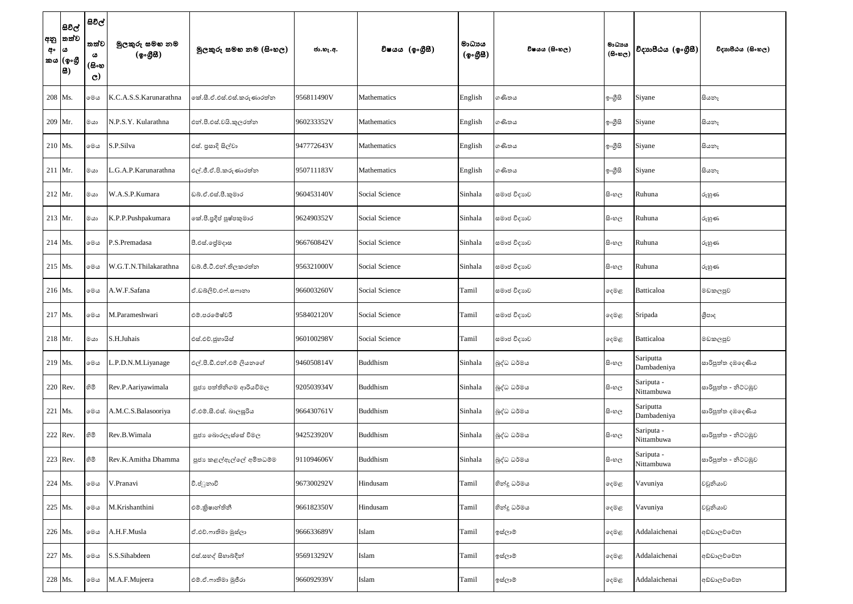| අනු  <br>අං | සිවිල්<br> තත්ව<br>ය<br>කය (ඉංගී<br> සි) | සිවිල්<br>තත්ව<br>ය<br>(සිංහ<br>$\mathbf{C}$ | මුලකුරු සමහ නම<br>(ඉංගුිසි) | මූලකුරු සමහ නම (සිංහල)    | ජා.හැ.අ.   | විෂයය (ඉංගීසී)     | මාධායය<br>(ඉංගීසී) | විෂයය (සිංහල) | මාධායය<br>$(B \circ \mathfrak{v}_C)$ | විදාහපීඨය (ඉංගීසී)       | විදාහපීඨය (සිංහල)    |
|-------------|------------------------------------------|----------------------------------------------|-----------------------------|---------------------------|------------|--------------------|--------------------|---------------|--------------------------------------|--------------------------|----------------------|
|             | 208 Ms.                                  | මෙය                                          | K.C.A.S.S.Karunarathna      | කේ.සී.ඒ.එස්.එස්.කරුණාරත්න | 956811490V | <b>Mathematics</b> | English            | ගණිතය         | ඉංගීසි                               | Siyane                   | සියතෑ                |
|             | 209 Mr.                                  | ගය                                           | N.P.S.Y. Kularathna         | එන්.පී.එස්.වයි.කුලරත්න    | 960233352V | Mathematics        | English            | ගණිතය         | ඉංගීසි                               | Siyane                   | සියතෑ                |
|             | $210$ Ms.                                | මෙය                                          | S.P.Silva                   | එස්. පුසාදි සිල්වා        | 947772643V | Mathematics        | English            | ගණිතය         | ඉංගීසි                               | Siyane                   | සියනෑ                |
|             | $211$ Mr.                                | මයා                                          | G.A.P.Karunarathna          | එල්.ජී.ඒ.පි.කරුණාරත්ත     | 950711183V | Mathematics        | English            | ගණිතය         | ඉංගීසි                               | Siyane                   | සියතෑ                |
|             | $212$ Mr.                                | ගය                                           | W.A.S.P.Kumara              | ඩබ්.ඒ.එස්.පී.කුමාර        | 960453140V | Social Science     | Sinhala            | සමාජ විදාහව   | සිංහල                                | Ruhuna                   | රුහුණ                |
|             | $213$ Mr.                                | ගය                                           | K.P.P.Pushpakumara          | කේ.පී.පුදීප් පුෂ්පකුමාර   | 962490352V | Social Science     | Sinhala            | සමාජ විදාහව   | සි∘හල                                | Ruhuna                   | රුහුණ                |
|             | $214$ Ms.                                | මෙය                                          | P.S.Premadasa               | පී.එස්.ලේමදාස             | 966760842V | Social Science     | Sinhala            | සමාජ විදාහව   | සි∘හල                                | Ruhuna                   | රුහුණ                |
|             | 215 Ms.                                  | මෙය                                          | W.G.T.N.Thilakarathna       | ඩබ්.ජී.ටී.එන්.තිලකරත්න    | 956321000V | Social Science     | Sinhala            | සමාජ විදාහව   | සි∘හල                                | Ruhuna                   | රුහුණ                |
|             | $216$ Ms.                                | මෙය                                          | A.W.F.Safana                | ඒ.ඩබ්ලිව්.එෆ්.සෆානා       | 966003260V | Social Science     | Tamil              | සමාජ විදාහව   | දෙමළ                                 | Batticaloa               | මඩකලපුව              |
|             | 217 Ms.                                  | මෙය                                          | M.Parameshwari              | එම්.පරමේෂ්වරී             | 958402120V | Social Science     | Tamil              | සමාජ විදාහව   | ඈමළ                                  | Sripada                  | ශීපාද                |
|             | 218 Mr.                                  | මයා                                          | S.H.Juhais                  | එස්.එච්.ජුහායිස්          | 960100298V | Social Science     | Tamil              | සමාජ විදාහුව  | ෫෧෫                                  | Batticaloa               | මඩකලපුව              |
|             | 219 Ms.                                  | මෙය                                          | .P.D.N.M.Liyanage           | එල්.පී.ඩී.එන්.එම් ලියනගේ  | 946050814V | <b>Buddhism</b>    | Sinhala            | බුද්ධ ධර්මය   | සිංහල                                | Sariputta<br>Dambadeniya | සාරිපුත්ත දඹදෙණිය    |
|             | $220$ Rev.                               | හිමි                                         | Rev.P.Aariyawimala          | පූජා පත්තිනිගම ආරියවිමල   | 920503934V | <b>Buddhism</b>    | Sinhala            | බුද්ධ ධර්මය   | සි∘හල                                | Sariputa -<br>Nittambuwa | සාරිපුත්ත - නිට්ටඹුව |
|             | 221 Ms.                                  | මෙය                                          | A.M.C.S.Balasooriya         | ඒ.එම්.සී.එස්. බාලසූරිය    | 966430761V | <b>Buddhism</b>    | Sinhala            | බුද්ධ ධර්මය   | සිංහල                                | Sariputta<br>Dambadeniya | සාරිපුත්ත දඹදෙණිය    |
|             | $222$ Rev.                               | නිමි                                         | Rev.B.Wimala                | පූජා බොරලැස්සේ විමල       | 942523920V | <b>Buddhism</b>    | Sinhala            | බුද්ධ ධර්මය   | සිංහල                                | Sariputa -<br>Nittambuwa | සාරිපුත්ත - නිට්ටඹුව |
|             | $223$ Rev.                               | හිමි                                         | Rev.K.Amitha Dhamma         | පූජා කළල්ඇල්ලේ අමිතධම්ම   | 911094606V | <b>Buddhism</b>    | Sinhala            | බුද්ධ ධර්මය   | සි∘හල                                | Sariputa -<br>Nittambuwa | සාරිපුත්ත - නිට්ටඹුව |
|             | 224 Ms.                                  | මෙය                                          | V.Pranavi                   | වී.ප්ූනාවි                | 967300292V | Hindusam           | Tamil              | හින්දු ධර්මය  | දෙමළ                                 | Vavuniya                 | වවුනියාව             |
|             | 225 Ms.                                  | මෙය                                          | M.Krishanthini              | එම්.කිෂාන්තිනී            | 966182350V | Hindusam           | Tamil              | හින්දු ධර්මය  | දෙමළ                                 | Vavuniya                 | වවුනියාව             |
|             | 226 Ms.                                  | මෙය                                          | A.H.F.Musla                 | ඒ.එච්.ෆාතිමා මුස්ලා       | 966633689V | Islam              | Tamil              | ඉස්ලාම්       | දෙමළ                                 | Addalaichenai            | අඩ්ඩාලච්චේන          |
|             | 227 Ms.                                  | මෙය                                          | S.S.Sihabdeen               | එස්.සහද් සිහාබ්දීන්       | 956913292V | Islam              | Tamil              | ඉස්ලාම්       | දෙමළ                                 | Addalaichenai            | අඩ්ඩාලච්චේන          |
|             | 228 Ms.                                  | $\circ\circ\circ$                            | M.A.F.Mujeera               | එම්.ඒ.ෆාතිමා මූජීරා       | 966092939V | Islam              | Tamil              | ඉස්ලාම්       | දෙමළ                                 | Addalaichenai            | අඩ්ඩාලච්චේන          |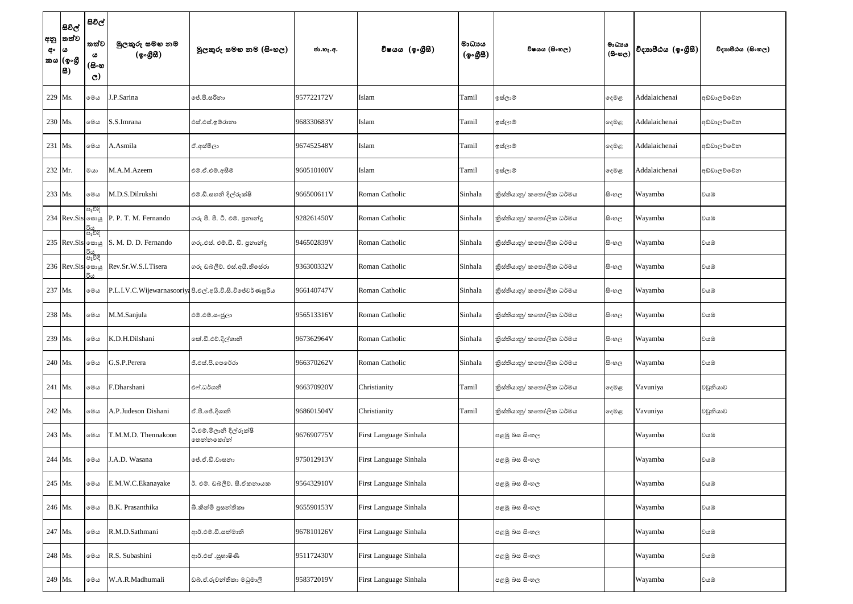| අනු<br>අං | සිවිල්<br> තත්ව<br>ය<br>කය $ $ (ඉංගී<br> සි) | සිවිල්<br>තත්ව<br>ය<br>(සිංහ<br>$\mathbf{C}$ | මුලකුරු සමහ නම<br>(ඉංගුිසි) | මූලකුරු සමහ නම (සිංහල)                                    | ජා.හැ.අ.   | විෂයය (ඉංගීසී)         | මාධායය<br>(ඉංගීසී) | විෂයය (සිංහල)            | මාධායය<br>$(B \circ \mathfrak{v}_C)$ | විදාහපීඨය (ඉංගීසී) | විදාහපීඨය (සිංහල) |
|-----------|----------------------------------------------|----------------------------------------------|-----------------------------|-----------------------------------------------------------|------------|------------------------|--------------------|--------------------------|--------------------------------------|--------------------|-------------------|
|           | 229 Ms.                                      | මෙය                                          | J.P.Sarina                  | ්.පී.සරිනා                                                | 957722172V | Islam                  | Tamil              | ඉස්ලාම්                  | ඈමළ                                  | Addalaichenai      | අඩ්ඩාලච්චේන       |
|           | 230 Ms.                                      | මෙය                                          | S.S.Imrana                  | එස්.එස්.ඉම්රානා                                           | 968330683V | Islam                  | Tamil              | ඉස්ලාම්                  | ඈමළ                                  | Addalaichenai      | අඩ්ඩාලච්චේන       |
| 231 Ms.   |                                              | මෙය                                          | A.Asmila                    | ඒ.අස්මිලා                                                 | 967452548V | Islam                  | Tamil              | ඉස්ලාම්                  | ඈමළ                                  | Addalaichenai      | අඩ්ඩාලව්වේන       |
| $232$ Mr. |                                              | ගය                                           | M.A.M.Azeem                 | එම්.ඒ.එම්.අසීම්                                           | 960510100V | Islam                  | Tamil              | ඉස්ලාම්                  | දෙමළ                                 | Addalaichenai      | අඩ්ඩාලව්වේන       |
|           | 233 Ms.                                      | මෙය                                          | M.D.S.Dilrukshi             | එම්.ඩී.සහනි දිල්රුක්ෂි                                    | 966500611V | Roman Catholic         | Sinhala            | තිස්තියානු/ කතෝලික ධර්මය | සි∘හල                                | Wayamba            | වයඹ               |
|           | 234 Rev.Sis க்ஷ                              | පැවිදි                                       | P. P. T. M. Fernando        | ගරු පී. පී. ටී. එම්. පුනාන්දු                             | 928261450V | Roman Catholic         | Sinhala            | කිස්තියානු/ කතෝලික ධර්මය | සි∘හල                                | Wayamba            | වයඹ               |
|           | 235 Rev.Sis. க்ஷ                             | ුරිය<br>පැවිදි                               | S. M. D. D. Fernando        | ගරු.එස්. එම්.ඩී. ඩී. පුනාන්දු                             | 946502839V | Roman Catholic         | Sinhala            | තිස්තියානු/ කතෝලික ධර්මය | සි∘හල                                | Wayamba            | වයඹ               |
|           | 236 Rev.Sis க்ஷ                              | පැවිදි                                       | Rev.Sr.W.S.I.Tisera         | ගරු ඩබ්ලිව්. එස්.අයි.තිසේරා                               | 936300332V | Roman Catholic         | Sinhala            | තිස්තියානු/ කතෝලික ධර්මය | සි∘හල                                | Wayamba            | වයඹ               |
| 237 Ms.   |                                              | මෙය                                          |                             | P.L.I.V.C.Wijewarnasooriya පි.එල්.අයි.වි.සි.විජේවර්ණසූරිය | 966140747V | Roman Catholic         | Sinhala            | නිස්තියානු/ කතෝලික ධර්මය | සි∘හල                                | Wayamba            | වයඹ               |
|           | 238 Ms.                                      | මෙය                                          | M.M.Sanjula                 | එම්.එම්.සංජූලා                                            | 956513316V | Roman Catholic         | Sinhala            | තිස්තියානු/ කතෝලික ධර්මය | සිංහල                                | Wayamba            | වයඹ               |
|           | 239 Ms.                                      | මෙය                                          | K.D.H.Dilshani              | කේ.ඩී.එච්.දිල්ශානි                                        | 967362964V | Roman Catholic         | Sinhala            | තිස්තියානු/ කතෝලික ධර්මය | සි∘හල                                | Wayamba            | වයඹ               |
|           | 240 Ms.                                      | මෙය                                          | G.S.P.Perera                | ජී.එස්.පි.පෙරේරා                                          | 966370262V | Roman Catholic         | Sinhala            | තිස්තියානු/ කතෝලික ධර්මය | සිංහල                                | Wayamba            | වයඹ               |
|           | 241 Ms.                                      | මෙය                                          | F.Dharshani                 | එෆ්.ධර්ශනී                                                | 966370920V | Christianity           | Tamil              | කිස්තියානු/ කතෝලික ධර්මය | දෙමළ                                 | Vavuniya           | වවුනියාව          |
|           | 242 Ms.                                      | මෙය                                          | A.P.Judeson Dishani         | ඒ.පී.ජේ.දිශානි                                            | 968601504V | Christianity           | Tamil              | තිස්තියානු/ කතෝලික ධර්මය | දෙමළ                                 | Vavuniya           | වවුනියාව          |
|           | 243 Ms.                                      | මෙය                                          | T.M.M.D. Thennakoon         | ටී.එම්.මිලානි දිල්රුක්ෂි<br>නෙන්නකෝන්                     | 967690775V | First Language Sinhala |                    | පළමු බස සිංහල            |                                      | Wayamba            | වයඹ               |
|           | 244 Ms.                                      | මෙය                                          | J.A.D. Wasana               | ජේ.ඒ.ඩී.වාසනා                                             | 975012913V | First Language Sinhala |                    | පළමු බස සිංහල            |                                      | Wayamba            | වයඹ               |
|           | 245 Ms.                                      | මෙය                                          | E.M.W.C.Ekanayake           | ඊ. එම්. ඩබ්ලිව්. සී.ඒකනායක                                | 956432910V | First Language Sinhala |                    | පළමු බස සිංහල            |                                      | Wayamba            | වයඹ               |
|           | 246 Ms.                                      | මෙය                                          | B.K. Prasanthika            | බී.කිත්මි පුසන්තිකා                                       | 965590153V | First Language Sinhala |                    | පළමු බස සිංහල            |                                      | Wayamba            | වයඹ               |
|           | 247 Ms.                                      | මෙය                                          | R.M.D.Sathmani              | ආර්.එම්.ඩී.සත්මානි                                        | 967810126V | First Language Sinhala |                    | පළමු බස සිංහල            |                                      | Wayamba            | වයඹ               |
|           | 248 Ms.                                      | මෙය                                          | R.S. Subashini              | ආර්.එස් .සුභාෂිණි                                         | 951172430V | First Language Sinhala |                    | පළමු බස සිංහල            |                                      | Wayamba            | වයඹ               |
|           | 249 Ms.                                      | මෙය                                          | W.A.R.Madhumali             | ඩබ්.ඒ.රුවන්තිකා මධුමාලි                                   | 958372019V | First Language Sinhala |                    | පළමු බස සිංහල            |                                      | Wayamba            | වයඹ               |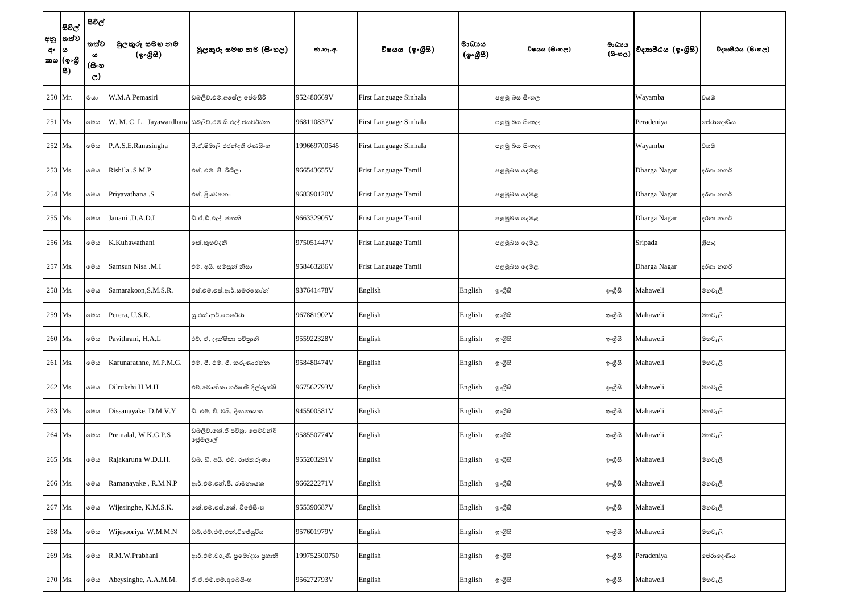| අං | සිවිල්<br> අනු  තත්ව<br>ය<br>'කය (ඉංගී<br> සි) | සිවිල්<br>්තත්ව<br>ය<br>(සිංහ<br>$\mathbf{C}$                          | මුලකුරු සමහ නම<br>(ඉංගුිසි) | මූලකුරු සමහ නම (සිංහල)                              | ජා.හැ.අ.     | විෂයය (ඉංගීසී)         | මාධාපය<br>(ඉංගීසී) | විෂයය (සිංහල) | මාධාපය<br>$(B \circ \omega_C)$ | විදාහපීඨය (ඉංගීසී) | විදාහපීඨය (සිංහල) |
|----|------------------------------------------------|------------------------------------------------------------------------|-----------------------------|-----------------------------------------------------|--------------|------------------------|--------------------|---------------|--------------------------------|--------------------|-------------------|
|    | 250 Mr.                                        | ගග                                                                     | W.M.A Pemasiri              | ඩබ්ලිව්.එම්.අසේල පේමසිරි                            | 952480669V   | First Language Sinhala |                    | පළමු බස සිංහල |                                | Wayamba            | වයඹ               |
|    | 251 Ms.                                        | මෙය                                                                    |                             | W. M. C. L. Jayawardhana ඩබ්ලිව්.එම්.සි.එල්.ජයවර්ධන | 968110837V   | First Language Sinhala |                    | පළමු බස සිංහල |                                | Peradeniya         | පේරාදෙණිය         |
|    | 252 Ms.                                        | මෙය                                                                    | P.A.S.E.Ranasingha          | පී.ඒ.ෂිමාලි එරත්දතී රණසිංහ                          | 199669700545 | First Language Sinhala |                    | පළමු බස සිංහල |                                | Wayamba            | වයඹ               |
|    | 253 Ms.                                        | මෙය                                                                    | Rishila .S.M.P              | එස්. එම්. පී. රිශිලා                                | 966543655V   | Frist Language Tamil   |                    | පළමුබස දෙමළ   |                                | Dharga Nagar       | දර්ගා නගර්        |
|    | 254 Ms.                                        | මෙය                                                                    | Priyavathana .S             | එස්. පියවතනා                                        | 968390120V   | Frist Language Tamil   |                    | පළමුබස දෙමළ   |                                | Dharga Nagar       | දර්ගා නගර්        |
|    | 255 Ms.                                        | මෙය                                                                    | Janani .D.A.D.L             | ඩී.ඒ.ඩී.එල්. ජනනි                                   | 966332905V   | Frist Language Tamil   |                    | පළමුබස දෙමළ   |                                | Dharga Nagar       | දර්ගා නගර්        |
|    | 256 Ms.                                        | මෙය                                                                    | K.Kuhawathani               | කේ.කුහවදනි                                          | 975051447V   | Frist Language Tamil   |                    | පළමුබස දෙමළ   |                                | Sripada            | ශීපාද             |
|    | 257 Ms.                                        | මෙය                                                                    | Samsun Nisa .M.I            | එම්. අයි. සමසුන් නිසා                               | 958463286V   | Frist Language Tamil   |                    | පළමුබස දෙමළ   |                                | Dharga Nagar       | දර්ගා නගර්        |
|    | 258 Ms.                                        | මෙය                                                                    | Samarakoon, S.M.S.R.        | එස්.එම්.එස්.ආර්.සමරකෝන්                             | 937641478V   | English                | English            | ඉ∘ගුිසි       | ඉංගීසි                         | Mahaweli           | මහවැලි            |
|    | 259 Ms.                                        | මෙය                                                                    | Perera, U.S.R.              | ශු.එස්.ආර්.පෙරේරා                                   | 967881902V   | English                | English            | ඉංගුිසි       | ඉංගුිසි                        | Mahaweli           | මහවැලි            |
|    | 260 Ms.                                        | මෙය                                                                    | Pavithrani, H.A.L           | එච්. ඒ. ලක්ෂිකා පවිතුානි                            | 955922328V   | English                | English            | ඉංගීසි        | ඉංගීසි                         | Mahaweli           | මහවැලි            |
|    | 261 Ms.                                        | මෙය                                                                    | Karunarathne, M.P.M.G.      | එම්. පී. එම්. ජී. කරුණාරත්ත                         | 958480474V   | English                | English            | ඉ∘ගුිසි       | ඉංගීසි                         | Mahaweli           | මහවැලි            |
|    | 262 Ms.                                        | මෙය                                                                    | Dilrukshi H.M.H             | එච්.මොනිකා හර්ෂණී දිල්රුක්ෂි                        | 967562793V   | English                | English            | ඉංගීසි        | ඉංගීසි                         | Mahaweli           | මහවැලි            |
|    | 263 Ms.                                        | මෙය                                                                    | Dissanayake, D.M.V.Y        | ඩී. එම්. වි. වයි. දිසානායක                          | 945500581V   | English                | English            | ඉ∘ගුිසි       | ඉංගීසි                         | Mahaweli           | මහවැලි            |
|    | 264 Ms.                                        | මෙය                                                                    | Premalal, W.K.G.P.S         | ඩබ්ලිව්.කේ.ජී පවිතා සෙව්වන්දි<br>මසුම්ලාල්          | 958550774V   | English                | English            | ඉ∘ගුිසි       | ඉංගීසි                         | Mahaweli           | මහවැලි            |
|    | 265 Ms.                                        | මෙය                                                                    | Rajakaruna W.D.I.H.         | ඩබ්. ඩී. අයි. එච්. රාජකරුණා                         | 955203291V   | English                | English            | ඉංගීසි        | ඉංගුිසි                        | Mahaweli           | මහවැලි            |
|    | 266 Ms.                                        | මෙය                                                                    | Ramanayake, R.M.N.P         | ආර්.එම්.එන්.පී. රාමනායක                             | 966222271V   | English                | English            | ඉ∘ගුිසි       | ඉංගීසි                         | Mahaweli           | මහවැලි            |
|    | 267 Ms.                                        | මෙය                                                                    | Wijesinghe, K.M.S.K.        | ෧ක්.එම්.එස්.කේ. විජේසිංහ                            | 955390687V   | English                | English            | ඉ∘ගුිසි       | ඉංගීසි                         | Mahaweli           | මහවැලි            |
|    | 268 Ms.                                        | මෙය                                                                    | Wijesooriya, W.M.M.N        | ඩබ්.එම්.එම්.එන්.විජේසූරිය                           | 957601979V   | English                | English            | ඉංගීසි        | ඉංගීසි                         | Mahaweli           | මහවැලි            |
|    | 269 Ms.                                        | මෙය                                                                    | R.M.W.Prabhani              | ආර්.එම්.වරුණි පුමෝදාහ පුහානි                        | 199752500750 | English                | English            | ඉ∘ගුිසි       | ඉංගීසි                         | Peradeniya         | පේරාදෙණිය         |
|    | 270 Ms.                                        | $\circ\hspace{-0.75mm}\circ\hspace{-0.75mm}\circ\hspace{-0.75mm}\circ$ | Abeysinghe, A.A.M.M.        | ඒ.ඒ.එම්.එම්.අබේසිංහ                                 | 956272793V   | English                | English            | ඉ∘ගුිසි       | ඉංගීසි                         | Mahaweli           | මහවැලි            |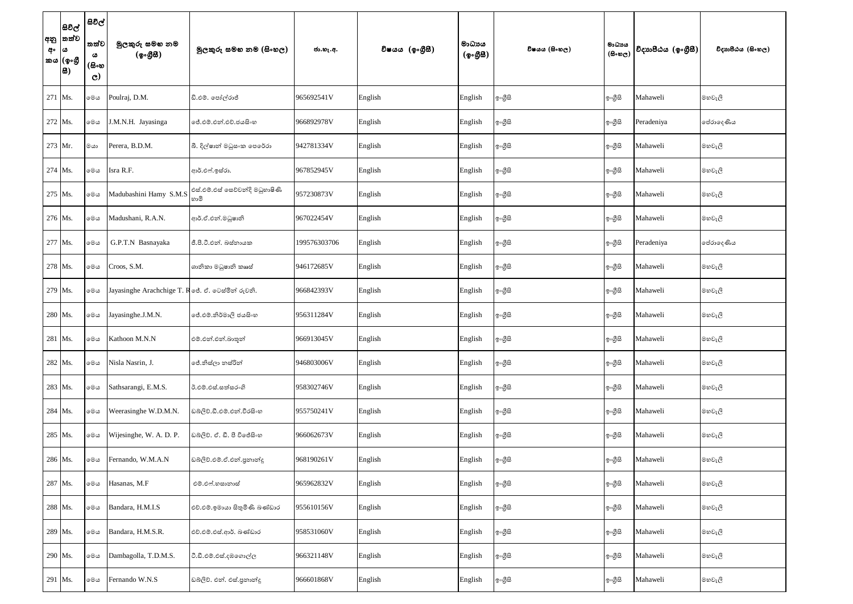| අං | සිවිල්<br> අනු  තත්ව<br>ය<br> කය (ඉංගීු<br> 8) | සිවිල්<br>තත්ව<br>ය<br>(සිංහ<br>$\mathbf{C}$ | මුලකුරු සමහ නම<br>(ඉංගුිසි)                      | මූලකුරු සමහ නම (සිංහල)                  | ජා.හැ.අ.     | විෂයය (ඉංගීසී) | මාධායය<br>(ඉංගීසී) | විෂයය (සිංහල) | මාධාපය<br>$(B \circ \omega_C)$ | විදාහපීඨය (ඉංගීසී) | විදාහපීඨය (සිංහල) |
|----|------------------------------------------------|----------------------------------------------|--------------------------------------------------|-----------------------------------------|--------------|----------------|--------------------|---------------|--------------------------------|--------------------|-------------------|
|    | 271 Ms.                                        | මෙය                                          | Poulraj, D.M.                                    | ඩි.එම්. පෝල්රාජ්                        | 965692541V   | English        | English            | ඉ∘ගුිසි       | ඉංගීසි                         | Mahaweli           | මහවැලි            |
|    | 272 Ms.                                        | මෙය                                          | J.M.N.H. Jayasinga                               | ලජ්.එම්.එන්.එච්.ජයසි∘හ                  | 966892978V   | English        | English            | ඉ∘ගුිසි       | ඉංගුිසි                        | Peradeniya         | පේරාදෙණිය         |
|    | 273 Mr.                                        | ගය                                           | Perera, B.D.M.                                   | බී. දිල්ෂාන් මධුසංක පෙරේරා              | 942781334V   | English        | English            | ේශයේ          | ඉංගීසි                         | Mahaweli           | මහවැලි            |
|    | $274$ Ms.                                      | මෙය                                          | Isra R.F.                                        | ආර්.එෆ්.ඉස්රා.                          | 967852945V   | English        | English            | ඉ∘ගුිසි       | ඉංගුිසි                        | Mahaweli           | මහවැලි            |
|    | 275 Ms.                                        | මෙය                                          | Madubashini Hamy S.M.S                           | එස්.එම්.එස් සෙව්වන්දි මධුහාෂිණි<br>හාමි | 957230873V   | English        | English            | ඉ∘ගුිසි       | ඉංගීසි                         | Mahaweli           | මහවැලි            |
|    | 276 Ms.                                        | මෙය                                          | Madushani, R.A.N.                                | ආර්.ඒ.එන්.මධුෂානි                       | 967022454V   | English        | English            | ඉ∘ගුිසි       | ඉංගීසි                         | Mahaweli           | මහවැලි            |
|    | 277 Ms.                                        | මෙය                                          | G.P.T.N Basnayaka                                | ජී.පී.ටී.එන්. බස්තායක                   | 199576303706 | English        | English            | ඉ∘ගුිසි       | ඉංගීසි                         | Peradeniya         | පේරාදෙණිය         |
|    | 278 Ms.                                        | මෙය                                          | Croos, S.M.                                      | ශානිකා මධුෂානි කෲස්                     | 946172685V   | English        | English            | ඉ∘ගුිසි       | ඉංගීසි                         | Mahaweli           | මහවැලි            |
|    | 279 Ms.                                        | මෙය                                          | Jayasinghe Arachchige T. Roe. ඒ. ටෙස්මින් රුවනි. |                                         | 966842393V   | English        | English            | ඉ∘ගුිසි       | ඉංගීසි                         | Mahaweli           | මහවැලි            |
|    | 280 Ms.                                        | මෙය                                          | Jayasinghe.J.M.N.                                | ලේ.එම්.නිර්මාලි ජයසි∘හ                  | 956311284V   | English        | English            | ඉ∘ගුිසි       | ඉංගීසි                         | Mahaweli           | මහවැලි            |
|    | 281 Ms.                                        | මෙය                                          | Kathoon M.N.N                                    | එම්.එන්.එන්.බාතූන්                      | 966913045V   | English        | English            | ඉංගීසි        | ඉංගීසි                         | Mahaweli           | මහවැලි            |
|    | 282 Ms.                                        | මෙය                                          | Nisla Nasrin, J.                                 | ජේ.නිස්ලා නස්රින්                       | 946803006V   | English        | English            | ඉ∘ගුිසි       | ඉංගීසි                         | Mahaweli           | මහවැලි            |
|    | 283 Ms.                                        | මෙය                                          | Sathsarangi, E.M.S.                              | ඊ.එම්.එස්.සත්සරංගි                      | 958302746V   | English        | English            | ඉංගීසි        | ඉංගීසි                         | Mahaweli           | මහවැලි            |
|    | 284 Ms.                                        | මෙය                                          | Weerasinghe W.D.M.N.                             | ඩබ්ලිව්.ඩී.එම්.එන්.වීරසිංහ              | 955750241V   | English        | English            | ඉ∘ගුිසි       | ඉංගීසි                         | Mahaweli           | මහවැලි            |
|    | 285 Ms.                                        | මෙය                                          | Wijesinghe, W. A. D. P.                          | ඩබ්ලිව්. ඒ. ඩී. පී විජේසිංහ             | 966062673V   | English        | English            | ඉ∘ගුිසි       | ඉංගීසි                         | Mahaweli           | මහවැලි            |
|    | 286 Ms.                                        | මෙය                                          | Fernando, W.M.A.N                                | ඩබ්ලිව්.එම්.ඒ.එන්.පුනාන්දු              | 968190261V   | English        | English            | ඉංගීසි        | ඉංගුිසි                        | Mahaweli           | මහවැලි            |
|    | 287 Ms.                                        | මෙය                                          | Hasanas, M.F                                     | එම්.එෆ්.හසානාස්                         | 965962832V   | English        | English            | ඉ∘ගුිසි       | ඉංගීසි                         | Mahaweli           | මහවැලි            |
|    | 288 Ms.                                        | මෙය                                          | Bandara, H.M.I.S                                 | එච්.ඵම්.ඉමායා සිතුමිණි බණ්ඩාර           | 955610156V   | English        | English            | ඉ∘ගුිසි       | ඉ∘ගීුසි                        | Mahaweli           | මහවැලි            |
|    | 289 Ms.                                        | මෙය                                          | Bandara, H.M.S.R.                                | එච්.එම්.එස්.ආර්. බණ්ඩාර                 | 958531060V   | English        | English            | ඉංගීසි        | ඉංගීසි                         | Mahaweli           | මහවැලි            |
|    | 290 Ms.                                        | මෙය                                          | Dambagolla, T.D.M.S.                             | ටී.ඩී.එම්.එස්.දඹගොල්ල                   | 966321148V   | English        | English            | ඉ∘ගුිසි       | ඉංගීසි                         | Mahaweli           | මහවැලි            |
|    | 291 Ms.                                        | $\circ\circ\circ$                            | Fernando W.N.S                                   | ඩබ්ලිව්. එන්. එස්.පුනාන්දු              | 966601868V   | English        | English            | ඉ∘ගීුසි       | ඉංගීසි                         | Mahaweli           | මහවැලි            |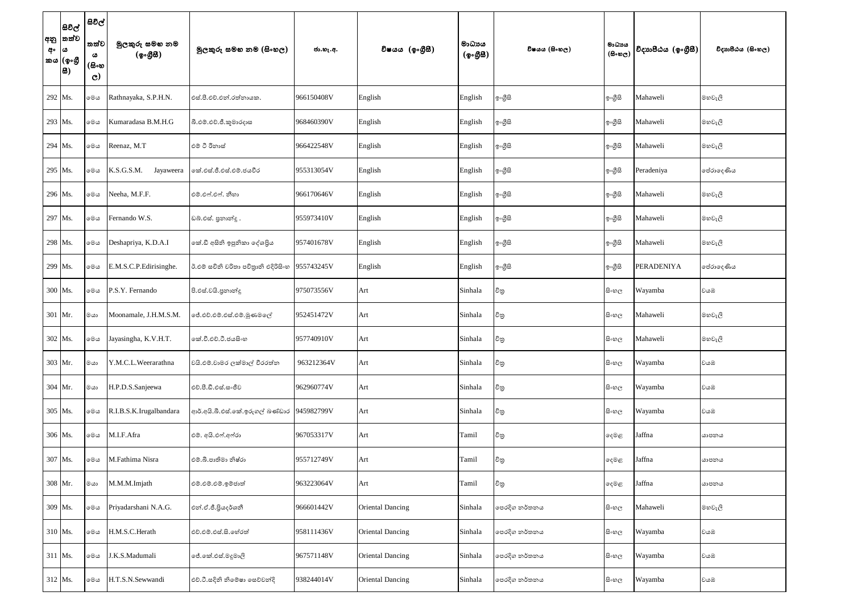| අං | සිවිල්<br> අනු  තත්ව<br> ය<br> කය (ඉංගී<br> සි) | සිවිල්<br>තත්ව<br>ය<br>(සිංහ<br>$\mathbf{C}$ | මුලකුරු සමහ නම<br>(ඉංගුිසි) | මූලකුරු සමහ නම (සිංහල)               | ජා.හැ.අ.   | විෂයය (ඉංගීසී)          | මාධාපය<br>(ඉංගුිසි) | විෂයය (සිංහල) | මාධායය<br>$(B \circ \mathfrak{v}_C)$ | විදාහපීඨය (ඉංගුීසී) | විදාහපීඨය (සිංහල) |
|----|-------------------------------------------------|----------------------------------------------|-----------------------------|--------------------------------------|------------|-------------------------|---------------------|---------------|--------------------------------------|---------------------|-------------------|
|    | 292 Ms.                                         | මෙය                                          | Rathnayaka, S.P.H.N.        | එස්.පී.එච්.එන්.රත්නායක.              | 966150408V | English                 | English             | ඉංගුිසි       | ඉංගීසි                               | Mahaweli            | මහවැලි            |
|    | 293 Ms.                                         | මෙය                                          | Kumaradasa B.M.H.G          | බී.එම්.එච්.ජී.කූමාරදාස               | 968460390V | English                 | English             | ඉංගීසි        | ඉංගීසි                               | Mahaweli            | මහවැලි            |
|    | 294 Ms.                                         | මෙය                                          | Reenaz, M.T                 | එම් ටී රිනාස්                        | 966422548V | English                 | English             | ඉංගීසි        | ඉංගීසි                               | Mahaweli            | මහවැලි            |
|    | 295 Ms.                                         | මෙය                                          | K.S.G.S.M.<br>Jayaweera     | කේ.එස්.ජී.එස්.එම්.ජයවීර              | 955313054V | English                 | English             | ඉංගුිසි       | ඉංගීසි                               | Peradeniya          | පේරාදෙණිය         |
|    | 296 Ms.                                         | මෙය                                          | Neeha, M.F.F.               | එම්.එෆ්.එෆ්. නීහා                    | 966170646V | English                 | English             | ඉංගීසි        | ඉංගීසි                               | Mahaweli            | මහවැලි            |
|    | 297 Ms.                                         | මෙය                                          | Fernando W.S.               | ඩබ්.එස්. පුනාන්දූ                    | 955973410V | English                 | English             | ඉංගීසි        | ඉංගීසි                               | Mahaweli            | මහවැලි            |
|    | 298 Ms.                                         | මෙය                                          | Deshapriya, K.D.A.I         | නේ.ඩී අසිනි ඉපුනිකා දේශපිය           | 957401678V | English                 | English             | ඉංගීසි        | ඉංගීසි                               | Mahaweli            | මහවැලි            |
|    | 299 Ms.                                         | මෙය                                          | E.M.S.C.P.Edirisinghe.      | ඊ.එම් සචිති චරිතා පවිතුානි එදිරිසිංහ | 955743245V | English                 | English             | ඉංගීසි        | ඉංගීසි                               | <b>PERADENIYA</b>   | පේරාදෙණිය         |
|    | 300 Ms.                                         | මෙය                                          | P.S.Y. Fernando             | පි.එස්.වයි.පුනාන්දු                  | 975073556V | Art                     | Sinhala             | චිනු          | සිංහල                                | Wayamba             | වයඹ               |
|    | 301 Mr.                                         | $\infty$                                     | Moonamale, J.H.M.S.M.       | ේ.එච්.එම්.එස්.එම්.මුණමලේ             | 952451472V | Art                     | Sinhala             | චිතු          | සි∘හල                                | Mahaweli            | මහවැලි            |
|    | 302 Ms.                                         | මෙය                                          | Jayasingha, K.V.H.T.        | ංක්.වී.එච්.ටී.ජයසිංහ                 | 957740910V | Art                     | Sinhala             | විතු          | සි∘හල                                | Mahaweli            | මහවැලි            |
|    | 303 Mr.                                         | $\circ\circ$                                 | Y.M.C.L.Weerarathna         | වයි.එම්.චාමර ලක්මාල් වීරරත්න         | 963212364V | Art                     | Sinhala             | විතු          | සි∘හල                                | Wayamba             | වයඹ               |
|    | 304 Mr.                                         | මයා                                          | H.P.D.S.Sanjeewa            | එච්.පී.ඩී.එස්.සංජීව                  | 962960774V | Art                     | Sinhala             | විතු          | සිංහල                                | Wayamba             | වයඹ               |
|    | 305 Ms.                                         | මෙය                                          | R.I.B.S.K.Irugalbandara     | ආර්.අයි.බී.එස්.කේ.ඉරුගල් බණ්ඩාර      | 945982799V | Art                     | Sinhala             | චිනු          | සි∘හල                                | Wayamba             | වයඹ               |
|    | 306 Ms.                                         | මෙය                                          | M.I.F.Afra                  | එම්. අයි.එෆ්.අෆ්රා                   | 967053317V | Art                     | Tamil               | විතු          | දෙමළ                                 | Jaffna              | යාපනය             |
|    | 307 Ms.                                         | මෙය                                          | M.Fathima Nisra             | එම්.බී.පාතිමා නිෂ්රා                 | 955712749V | Art                     | Tamil               | චිනු          | දෙමළ                                 | Jaffna              | යාපනය             |
|    | 308 Mr.                                         | $\circ\circ$                                 | M.M.M.Imjath                | එම්.එම්.එම්.ඉම්ජාත්                  | 963223064V | Art                     | Tamil               | චිතු          | දෙමළ                                 | Jaffna              | යාපනය             |
|    | 309 Ms.                                         | මෙය                                          | Priyadarshani N.A.G.        | එන්.ඒ.ජී.පිියදර්ශනී                  | 966601442V | <b>Oriental Dancing</b> | Sinhala             | පෙරදිග නර්තනය | සි∘හල                                | Mahaweli            | මහවැලි            |
|    | 310 Ms.                                         | මෙය                                          | H.M.S.C.Herath              | එච්.එම්.එස්.සි.හේරත්                 | 958111436V | <b>Oriental Dancing</b> | Sinhala             | පෙරදිග නර්තනය | සි∘හල                                | Wayamba             | වයඹ               |
|    | 311 Ms.                                         | මෙය                                          | J.K.S.Madumali              | ේ.කේ.එස්.මදුමාලි                     | 967571148V | <b>Oriental Dancing</b> | Sinhala             | පෙරදිග නර්තනය | සි∘හල                                | Wayamba             | වයඹ               |
|    | 312 Ms.                                         | $\circ\circ\circ$                            | H.T.S.N.Sewwandi            | එච්.ටී.සදිනි නිමේෂා සෙව්වන්දි        | 938244014V | <b>Oriental Dancing</b> | Sinhala             | පෙරදිග නර්තනය | සිංහල                                | Wayamba             | වයඹ               |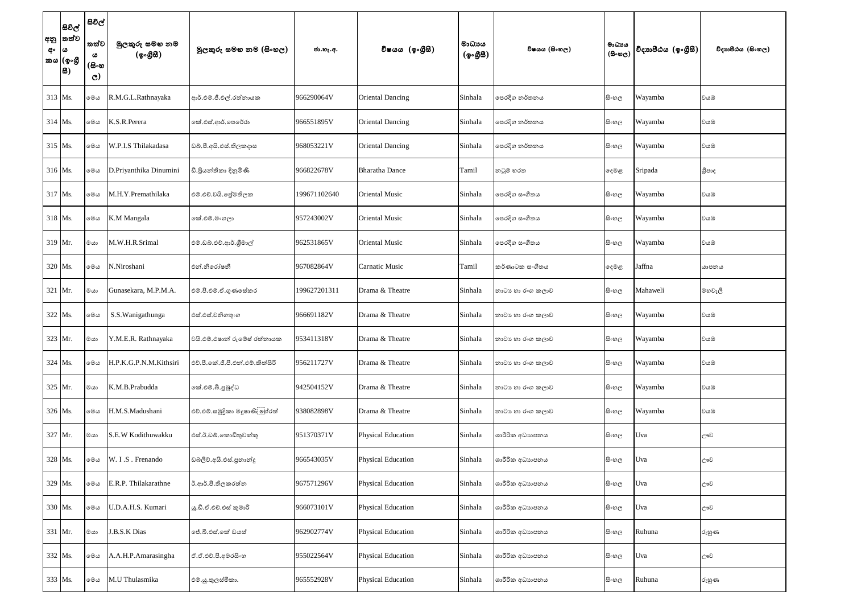| අං  ය     | සිවිල්<br> අනු  තත්ව<br>'කය (ඉංගුී<br> 8) | සිවිල්<br>තත්ව<br>ය<br>(සිංහ<br>$\mathbf{C}$ | මුලකුරු සමහ නම<br>(ඉංගුිසි) | මූලකුරු සමහ නම (සිංහල)           | ජා.හැ.අ.     | විෂයය (ඉංගීසී)            | මාධායය<br>(ඉංගීසී) | විෂයය (සිංහල)    | මාධාය<br>$(B \circ \omega_C)$ | විදාහපීඨය (ඉංගීසී) | විදාහපීඨය (සිංහල) |
|-----------|-------------------------------------------|----------------------------------------------|-----------------------------|----------------------------------|--------------|---------------------------|--------------------|------------------|-------------------------------|--------------------|-------------------|
|           | 313 Ms.                                   | මෙය                                          | R.M.G.L.Rathnayaka          | ආර්.එම්.ජී.එල්.රත්නායක           | 966290064V   | <b>Oriental Dancing</b>   | Sinhala            | පෙරදිග නර්තනය    | සි∘හල                         | Wayamba            | වයඹ               |
| $314$ Ms. |                                           | මෙය                                          | K.S.R.Perera                | ගක්.එස්.ආර්.පෙරේරා               | 966551895V   | <b>Oriental Dancing</b>   | Sinhala            | පෙරදිග නර්තනය    | සි∘හල                         | Wayamba            | වයඹ               |
|           | 315 Ms.                                   | මෙය                                          | W.P.I.S Thilakadasa         | ඩබ්.පී.අයි.එස්.තිලකදාස           | 968053221V   | <b>Oriental Dancing</b>   | Sinhala            | පෙරදිග නර්තනය    | සිංහල                         | Wayamba            | වයඹ               |
|           | 316 Ms.                                   | මෙය                                          | D.Priyanthika Dinumini      | ඩී.පියන්තිකා දිනුමිණි            | 966822678V   | <b>Bharatha Dance</b>     | Tamil              | නවූම් හරත        | දෙමළ                          | Sripada            | ශීපාද             |
|           | 317 Ms.                                   | මෙය                                          | M.H.Y.Premathilaka          | එම්.එච්.වයි. ජේමතිලක             | 199671102640 | <b>Oriental Music</b>     | Sinhala            | පෙරදිග සංගීතය    | සිංහල                         | Wayamba            | වයඹ               |
|           | 318 Ms.                                   | මෙය                                          | K.M Mangala                 | කේ.එම්.මංගලා                     | 957243002V   | <b>Oriental Music</b>     | Sinhala            | පෙරදිග සංගීතය    | සි∘හල                         | Wayamba            | වයඹ               |
|           | 319 Mr.                                   | ගය                                           | M.W.H.R.Srimal              | එම්.ඩබ්.එච්.ආර්.ශීමාල්           | 962531865V   | <b>Oriental Music</b>     | Sinhala            | පෙරදිග සංගීතය    | සි∘හල                         | Wayamba            | වයඹ               |
|           | 320 Ms.                                   | මෙය                                          | N.Niroshani                 | එන්.නිරෝෂනී                      | 967082864V   | <b>Carnatic Music</b>     | Tamil              | කර්ණාටක සංගීතය   | දෙමළ                          | Jaffna             | යාපනය             |
|           | 321 Mr.                                   | මයා                                          | Gunasekara, M.P.M.A.        | එම්.පී.එම්.ඒ.ගුණසේකර             | 199627201311 | Drama & Theatre           | Sinhala            | නාටා හා රංග කලාව | සි∘හල                         | Mahaweli           | මහවැලි            |
|           | 322 Ms.                                   | මෙය                                          | S.S. Wanigathunga           | එස්.එස්.වනිගතුංග                 | 966691182V   | Drama & Theatre           | Sinhala            | නාටා හා රංග කලාව | සි∘හල                         | Wayamba            | වයඹ               |
|           | 323 Mr.                                   | මයා                                          | Y.M.E.R. Rathnayaka         | වයි.එම්.එෂාත් රුමේෂ් රත්නායක     | 953411318V   | Drama & Theatre           | Sinhala            | නාටා හා රංග කලාව | සි∘හල                         | Wayamba            | වයඹ               |
|           | 324 Ms.                                   | මෙය                                          | H.P.K.G.P.N.M.Kithsiri      | එච්.පී.කේ.ජී.පී.එන්.එම්.කිත්සිරි | 956211727V   | Drama & Theatre           | Sinhala            | නාටා හා රංග කලාව | සිංහල                         | Wayamba            | වයඹ               |
|           | 325 Mr.                                   | ගය                                           | K.M.B.Prabudda              | කේ.එම්.බී.පුබුද්ධ                | 942504152V   | Drama & Theatre           | Sinhala            | නාටා හා රංග කලාව | සි∘හල                         | Wayamba            | වයඹ               |
|           | 326 Ms.                                   | මෙය                                          | H.M.S.Madushani             | එච්.එම්.සමුදිකා මදූෂාණි ලූහ්රත්  | 938082898V   | Drama & Theatre           | Sinhala            | නාටා හා රංග කලාව | සි∘හල                         | Wayamba            | වයඹ               |
|           | 327 Mr.                                   | මයා                                          | S.E.W Kodithuwakku          | එස්.ඊ.ඩබ්.කොඩිතුවක්කු            | 951370371V   | <b>Physical Education</b> | Sinhala            | ශාරීරික අධාහපනය  | සිංහල                         | Uva                | ඌව                |
|           | 328 Ms.                                   | මෙය                                          | W. I.S. Frenando            | ඩබ්ලිව්.අයි.එස්.පුනාන්දු         | 966543035V   | <b>Physical Education</b> | Sinhala            | ශාරීරික අධාහපනය  | සි∘හල                         | Uva                | ඌව                |
|           | 329 Ms.                                   | මෙය                                          | E.R.P. Thilakarathne        | ඊ.ආර්.පී.තිලකරත්න                | 967571296V   | <b>Physical Education</b> | Sinhala            | ශාරීරික අධාහපනය  | සි∘හල                         | Uva                | ඌව                |
|           | 330 Ms.                                   | මෙය                                          | U.D.A.H.S. Kumari           | ශු.ඩී.ඒ.එච්.එස් කුමාරි           | 966073101V   | <b>Physical Education</b> | Sinhala            | ශාරීරික අධාහපනය  | සි∘හල                         | Uva                | ඌව                |
|           | 331 Mr.                                   | මයා                                          | J.B.S.K Dias                | ජේ.බී.එස්.කේ ඩයස්                | 962902774V   | <b>Physical Education</b> | Sinhala            | ශාරීරික අධාහපනය  | සි∘හල                         | Ruhuna             | රුහුණ             |
|           | 332 Ms.                                   | මෙය                                          | A.A.H.P.Amarasingha         | ඒ.ඒ.එච්.පී.අමරසිංහ               | 955022564V   | <b>Physical Education</b> | Sinhala            | ශාරීරික අධාහපනය  | සිංහල                         | Uva                | ඌව                |
|           | 333 Ms.                                   | මෙය                                          | M.U Thulasmika              | එම්.යූ.තුලස්මිකා.                | 965552928V   | <b>Physical Education</b> | Sinhala            | ශාරීරික අධාහපනය  | සි∘හල                         | Ruhuna             | රුහුණ             |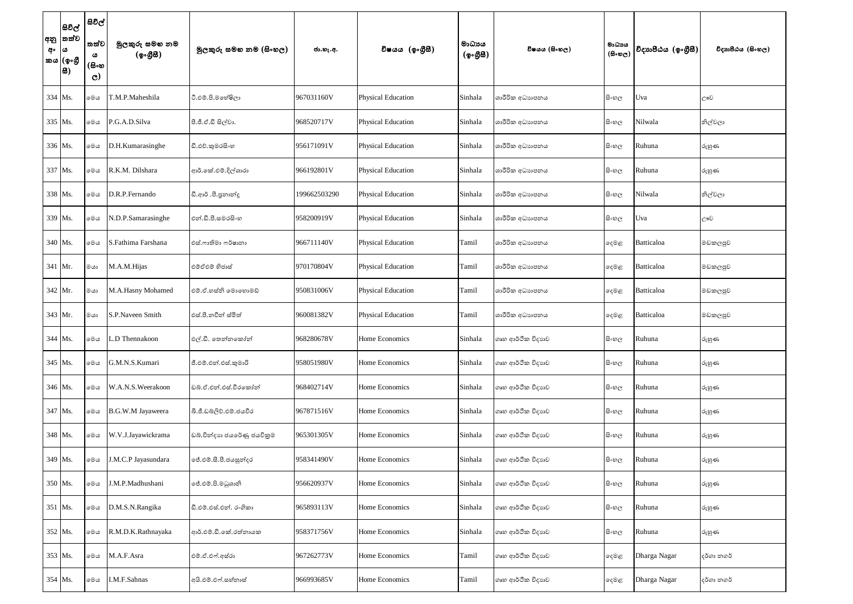| අං | සිවිල්<br> අනු  තත්ව<br> ය<br>'කය (ඉංගී<br> සි) | සිවිල්<br>තත්ව<br>ය<br>(සිංහ<br>$\mathbf{C}$ | මුලකුරු සමහ නම<br>(ඉංග <del>ී</del> සී) | මූලකුරු සමහ නම (සිංහල)     | ජා.හැ.අ.     | විෂයය (ඉංගීසී)            | මාධායය<br>(ඉංගුිසි) | විෂයය (සිංහල)     | මාධායය<br>$(B \circ \mathfrak{v}_C)$ | විදාහපීඨය (ඉංගීසී) | විදාහපීඨය (සිංහල) |
|----|-------------------------------------------------|----------------------------------------------|-----------------------------------------|----------------------------|--------------|---------------------------|---------------------|-------------------|--------------------------------------|--------------------|-------------------|
|    | 334 Ms.                                         | මෙය                                          | T.M.P.Maheshila                         | ටී.එම්.පි.මහේෂිලා          | 967031160V   | Physical Education        | Sinhala             | ශාරීරික අධාහපනය   | සි∘හල                                | Uva                | ඌව                |
|    | 335 Ms.                                         | මෙය                                          | P.G.A.D.Silva                           | පී.ජී.ඒ.ඩී සිල්වා.         | 968520717V   | Physical Education        | Sinhala             | ශාරීරික අධාහපනය   | සිංහල                                | Nilwala            | නිල්වලා           |
|    | 336 Ms.                                         | මෙය                                          | D.H.Kumarasinghe                        | ඩී.එච්.කුමරසිංහ            | 956171091V   | <b>Physical Education</b> | Sinhala             | ශාරීරික අධාහපනය   | සිංහල                                | Ruhuna             | රුහුණ             |
|    | 337 Ms.                                         | මෙය                                          | R.K.M. Dilshara                         | ආර්.කේ.එම්.දිල්ශාරා        | 966192801V   | <b>Physical Education</b> | Sinhala             | ශාරීරික අධාහපනය   | සි∘හල                                | Ruhuna             | රුහුණ             |
|    | 338 Ms.                                         | මෙය                                          | D.R.P.Fernando                          | ඩී.ආර් .පී.පුනාන්දු        | 199662503290 | Physical Education        | Sinhala             | ශාරීරික අධාහපනය   | සිංහල                                | Nilwala            | නිල්වලා           |
|    | 339 Ms.                                         | මෙය                                          | N.D.P.Samarasinghe                      | එන්.ඩී.පී.සමරසිංහ          | 958200919V   | Physical Education        | Sinhala             | ශාරීරික අධාහපනය   | සි∘හල                                | Uva                | ඌව                |
|    | 340 Ms.                                         | මෙය                                          | S.Fathima Farshana                      | එස්.ෆාතිමා ෆර්ෂානා         | 966711140V   | Physical Education        | Tamil               | ශාරීරික අධාහපනය   | දෙමළ                                 | Batticaloa         | මඩකලපුව           |
|    | 341 Mr.                                         | මයා                                          | M.A.M.Hijas                             | එම්ඒඑම් හිජාස්             | 970170804V   | <b>Physical Education</b> | Tamil               | ශාරීරික අධාහපනය   | ඈමළ                                  | Batticaloa         | මඩකලපුව           |
|    | $342$ Mr.                                       | මයා                                          | M.A.Hasny Mohamed                       | එම්.ඒ.හස්නි මොහොමඩ්        | 950831006V   | <b>Physical Education</b> | Tamil               | ශාරීරික අධාහපනය   | දෙමළ                                 | <b>Batticaloa</b>  | මඩකලපුව           |
|    | 343 Mr.                                         | මයා                                          | S.P.Naveen Smith                        | එස්.පී.නවීන් ස්මිත්        | 960081382V   | Physical Education        | Tamil               | ශාරීරික අධාහපනය   | දෙමළ                                 | Batticaloa         | මඩකලපුව           |
|    | 344 Ms.                                         | මෙය                                          | L.D Thennakoon                          | එල්.ඩී. තෙන්නකෝන්          | 968280678V   | Home Economics            | Sinhala             | ගෘහ ආර්ථික විදාහව | සිංහල                                | Ruhuna             | රුහුණ             |
|    | 345 Ms.                                         | මෙය                                          | G.M.N.S.Kumari                          | ජී.එම්.එන්.එස්.කුමාරි      | 958051980V   | Home Economics            | Sinhala             | ගෘහ ආර්ථික විදාහව | සි∘හල                                | Ruhuna             | රුහුණ             |
|    | 346 Ms.                                         | මෙය                                          | W.A.N.S.Weerakoon                       | ඩබ්.ඒ.එන්.එස්.වීරකෝන්      | 968402714V   | Home Economics            | Sinhala             | ගෘහ ආර්ථික විදාහව | සි∘හල                                | Ruhuna             | රුහුණ             |
|    | 347 Ms.                                         | මෙය                                          | B.G.W.M Jayaweera                       | බී.ජී.ඩබ්ලිව්.එම්.ජයවීර    | 967871516V   | Home Economics            | Sinhala             | ගෘහ ආර්ථික විදාහව | සි∘හල                                | Ruhuna             | රුහුණ             |
|    | 348 Ms.                                         | මෙය                                          | W.V.J.Jayawickrama                      | ඩබ්.වින්දාහ ජයරේණු ජයවිකුම | 965301305V   | Home Economics            | Sinhala             | ගෘහ ආර්ථික විදාහව | සිංහල                                | Ruhuna             | රුහුණ             |
|    | 349 Ms.                                         | මෙය                                          | J.M.C.P Jayasundara                     | ේ.එම්.සී.පී.ජයසූන්දර       | 958341490V   | Home Economics            | Sinhala             | ගෘහ ආර්ථික විදාහව | සි∘හල                                | Ruhuna             | රුහුණ             |
|    | 350 Ms.                                         | මෙය                                          | J.M.P.Madhushani                        | ්රී.එම්.පි.මධුශානි         | 956620937V   | Home Economics            | Sinhala             | ගෘහ ආර්ථික විදාහව | සි∘හල                                | Ruhuna             | රුහුණ             |
|    | 351 Ms.                                         | මෙය                                          | D.M.S.N.Rangika                         | ඩී.එම්.එස්.එන්. රංගිකා     | 965893113V   | Home Economics            | Sinhala             | ගෘහ ආර්ථික විදාහව | සි∘හල                                | Ruhuna             | රුහුණ             |
|    | 352 Ms.                                         | මෙය                                          | R.M.D.K.Rathnayaka                      | ආර්.එම්.ඩී.කේ.රත්නායක      | 958371756V   | Home Economics            | Sinhala             | ගෘහ ආර්ථික විදාහව | සි∘හල                                | Ruhuna             | රුහුණ             |
|    | 353 Ms.                                         | මෙය                                          | M.A.F.Asra                              | එම්.ඒ.එෆ්.අස්රා            | 967262773V   | Home Economics            | Tamil               | ගෘහ ආර්ථික විදාහව | දෙමළ                                 | Dharga Nagar       | දර්ගා නගර්        |
|    | 354 Ms.                                         | මෙය                                          | I.M.F.Sahnas                            | අයි.එම්.එෆ්.සහ්නාස්        | 966993685V   | Home Economics            | Tamil               | ගෘහ ආර්ථික විදාහව | දෙමළ                                 | Dharga Nagar       | දර්ගා නගර්        |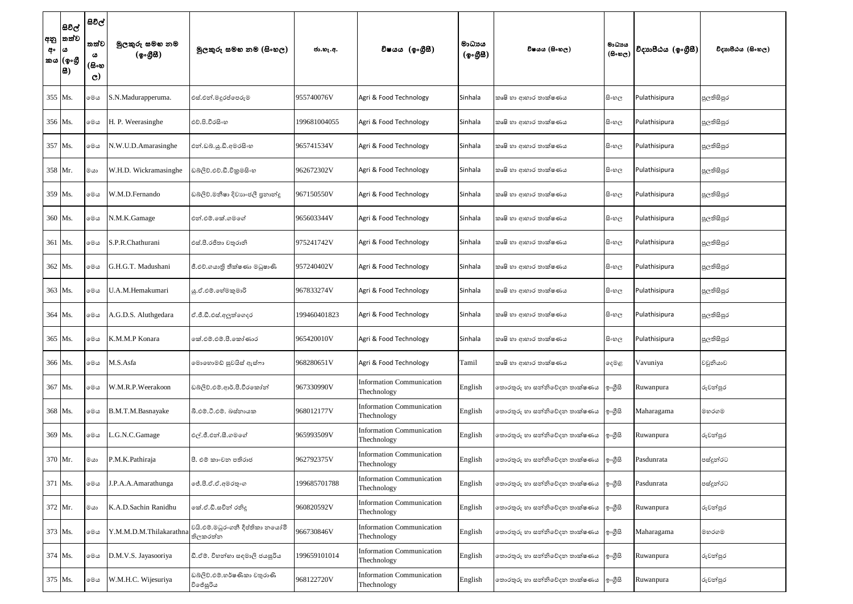| අං | සිවිල්<br> අනු  තත්ව<br>$\boldsymbol{\omega}$<br>කය (ඉංගී<br> 8) | සිවිල්<br>තත්ව<br>ය<br>(සිංහ<br>$\mathbf{C}$ | මුලකුරු සමහ නම<br>(ඉංගීසි) | මූලකුරු සමහ නම (සිංහල)                      | ජා.හැ.අ.     | විෂයය (ඉංගීසී)                                  | මාධායය<br>(ඉංගීසී) | විෂයය (සිංහල)                | මාධායය<br>$(B \circ \mathfrak{v}_C)$ | විදාහපීඨය $(\phi_0, \mathcal{B}\mathcal{B})$ | විදාහපීඨය (සිංහල) |
|----|------------------------------------------------------------------|----------------------------------------------|----------------------------|---------------------------------------------|--------------|-------------------------------------------------|--------------------|------------------------------|--------------------------------------|----------------------------------------------|-------------------|
|    | 355 Ms.                                                          | මෙය                                          | S.N.Madurapperuma.         | එස්.එන්.මදුරප්පෙරුම                         | 955740076V   | Agri & Food Technology                          | Sinhala            | කෘෂි හා ආහාර තාක්ෂණය         | සිංහල                                | Pulathisipura                                | පුලතිසිපුර        |
|    | 356 Ms.                                                          | මෙය                                          | H. P. Weerasinghe          | එච්.පි.වීරසිංහ                              | 199681004055 | Agri & Food Technology                          | Sinhala            | කෘෂි හා ආහාර තාක්ෂණය         | සිංහල                                | Pulathisipura                                | පුලතිසිපුර        |
|    | 357 Ms.                                                          | මෙය                                          | N.W.U.D.Amarasinghe        | එන්.ඩබ්.යූ.ඩී.අමරසිංහ                       | 965741534V   | Agri & Food Technology                          | Sinhala            | කෘෂි හා ආහාර තාක්ෂණය         | සිංහල                                | Pulathisipura                                | පුලතිසිපුර        |
|    | 358 Mr.                                                          | මයා                                          | W.H.D. Wickramasinghe      | ඩබ්ලිව්.එච්.ඩී.විකුමසිංහ                    | 962672302V   | Agri & Food Technology                          | Sinhala            | කෘෂි හා ආහාර තාක්ෂණය         | සිංහල                                | Pulathisipura                                | පුලතිසිපුර        |
|    | 359 Ms.                                                          | මෙය                                          | W.M.D.Fernando             | ඩබ්ලිව්.මනීෂා දිවාහංජලී පුනාන්දු            | 967150550V   | Agri & Food Technology                          | Sinhala            | කෘෂි හා ආහාර තාක්ෂණය         | සි∘හල                                | Pulathisipura                                | පුලතිසිපුර        |
|    | 360 Ms.                                                          | මෙය                                          | N.M.K.Gamage               | එන්.එම්.කේ.ගමගේ                             | 965603344V   | Agri & Food Technology                          | Sinhala            | කෘෂි හා ආහාර තාක්ෂණය         | සි∘හල                                | Pulathisipura                                | පුලතිසිපුර        |
|    | 361 Ms.                                                          | මෙය                                          | S.P.R.Chathurani           | එස්.පී.රජිතා චතුරානි                        | 975241742V   | Agri & Food Technology                          | Sinhala            | කෘෂි හා ආහාර තාක්ෂණය         | සි∘හල                                | Pulathisipura                                | පුලතිසිපුර        |
|    | 362 Ms.                                                          | මෙය                                          | G.H.G.T. Madushani         | ජී.එච්.ගයාති තීක්ෂණා මධුෂාණි                | 957240402V   | Agri & Food Technology                          | Sinhala            | කෘෂි හා ආහාර තාක්ෂණය         | සිංහල                                | Pulathisipura                                | පුලතිසිපුර        |
|    | 363 Ms.                                                          | මෙය                                          | U.A.M.Hemakumari           | යු.ඒ.එම්.හේමකුමාරි                          | 967833274V   | Agri & Food Technology                          | Sinhala            | කෘෂි හා ආහාර තාක්ෂණය         | සිංහල                                | Pulathisipura                                | පුලතිසිපුර        |
|    | 364 Ms.                                                          | මෙය                                          | A.G.D.S. Aluthgedara       | ඒ.ජී.ඩී.එස්.අලුත්ගෙදර                       | 199460401823 | Agri & Food Technology                          | Sinhala            | කෘෂි හා ආහාර තාක්ෂණය         | සි∘හල                                | Pulathisipura                                | පුලතිසිපුර        |
|    | 365 Ms.                                                          | මෙය                                          | K.M.M.P Konara             | කේ.එම්.එම්.පී.කෝණාර                         | 965420010V   | Agri & Food Technology                          | Sinhala            | කෘෂි හා ආහාර තාක්ෂණය         | සිංහල                                | Pulathisipura                                | පුලතිසිපුර        |
|    | 366 Ms.                                                          | මෙය                                          | M.S.Asfa                   | මොහොමඩ් සුවයිස් ඇස්ෆා                       | 968280651V   | Agri & Food Technology                          | Tamil              | කෘෂි හා ආහාර තාක්ෂණය         | දෙමළ                                 | Vavuniya                                     | වවුනියාව          |
|    | 367 Ms.                                                          | මෙය                                          | W.M.R.P.Weerakoon          | ඩබ්ලිව්.එම්.ආර්.පී.වීරකෝන්                  | 967330990V   | <b>Information Communication</b><br>Thechnology | English            | තොරතුරු හා සන්නිවේදන තාක්ෂණය | ඉංගීසි                               | Ruwanpura                                    | රුවන්පුර          |
|    | 368 Ms.                                                          | මෙය                                          | B.M.T.M.Basnayake          | බී.එම්.ටී.එම්. බස්නායක                      | 968012177V   | <b>Information Communication</b><br>Thechnology | English            | තොරතුරු හා සන්නිවේදන තාක්ෂණය | ඉ∘ගීසි                               | Maharagama                                   | මහරගම             |
|    | 369 Ms.                                                          | මෙය                                          | .G.N.C.Gamage              | එල්.ජී.එන්.සී.ගමගේ                          | 965993509V   | <b>Information Communication</b><br>Thechnology | English            | තොරතුරු හා සන්නිවේදන තාක්ෂණය | ඉංගීසි                               | Ruwanpura                                    | රුවන්පුර          |
|    | 370 Mr.                                                          | මයා                                          | P.M.K.Pathiraja            | පී. එම් කාංචන පතිරාජ                        | 962792375V   | <b>Information Communication</b><br>Thechnology | English            | තොරතුරු හා සන්නිවේදන තාක්ෂණය | ඉ∘ගුිසි                              | Pasdunrata                                   | පස්දුන්රට         |
|    | 371 Ms.                                                          | මෙය                                          | J.P.A.A.Amarathunga        | ේ.පී.ඒ.ඒ.අමරතුංග                            | 199685701788 | <b>Information Communication</b><br>Thechnology | English            | තොරතුරු හා සන්නිවේදන තාක්ෂණය | ඉංගීසි                               | Pasdunrata                                   | පස්දුන්රට         |
|    | 372 Mr.                                                          | මයා                                          | K.A.D.Sachin Ranidhu       | කේ.ඒ.ඩී.සචිත් රතිදූ                         | 960820592V   | <b>Information Communication</b><br>Thechnology | English            | තොරතුරු හා සන්නිවේදන තාක්ෂණය | ඉංගීසි                               | Ruwanpura                                    | රුවන්පුර          |
|    | 373 Ms.                                                          | මෙය                                          | Y.M.M.D.M.Thilakarathna    | වයි.එම්.මධුරංගනී දීප්තිකා නයෝමි<br>තිලකරත්න | 966730846V   | <b>Information Communication</b><br>Thechnology | English            | තොරතුරු හා සන්නිවේදන තාක්ෂණය | ඉංගුිසි                              | Maharagama                                   | මහරගම             |
|    | 374 Ms.                                                          | මෙය                                          | D.M.V.S. Jayasooriya       | ඩී.ඒම්. විහන්හා සඳමාලි ජයසූරිය              | 199659101014 | <b>Information Communication</b><br>Thechnology | English            | තොරතුරු හා සන්නිවේදන තාක්ෂණය | ඉංගීසි                               | Ruwanpura                                    | රුවන්පුර          |
|    | 375 Ms.                                                          | මෙය                                          | W.M.H.C. Wijesuriya        | ඩබ්ලිව්.එම්.හර්ෂණිකා චතුරාණි<br>විජේසූරිය   | 968122720V   | <b>Information Communication</b><br>Thechnology | English            | තොරතුරු හා සන්නිවේදන තාක්ෂණය | ඉංගුිසි                              | Ruwanpura                                    | රුවන්පුර          |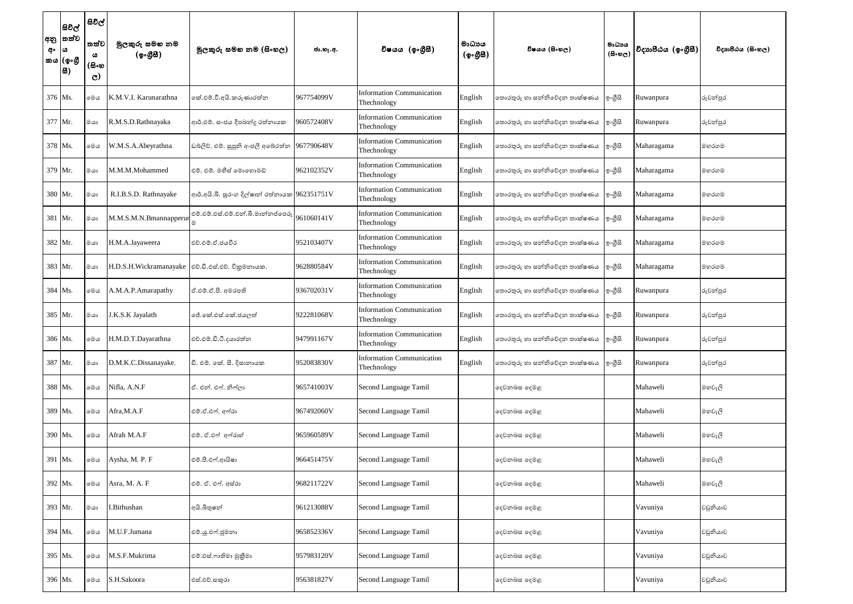| අ∘  ය | සිවිල්<br> අනු  තත්ව<br>කය (ඉංගී<br> සි) | සිවිල්<br>තත්ව<br>ω<br>(සිංහ<br>$\mathbf{C}$ | මුලකුරු සමහ නම<br>$(\mathcal{P} \circ \mathcal{B} \mathcal{B})$ | මූලකුරු සමහ නම (සිංහල)                        | ජා.හැ.අ.   | විෂයය (ඉංගීසී)                                  | මාධායය<br>(ඉංගීසී) | විෂයය (සිංහල)                | මාධායය<br>$(B \circ \mathfrak{v}_C)$ | විදාහපීඨය (ඉංගීසී) | විදාහපීඨය (සිංහල) |
|-------|------------------------------------------|----------------------------------------------|-----------------------------------------------------------------|-----------------------------------------------|------------|-------------------------------------------------|--------------------|------------------------------|--------------------------------------|--------------------|-------------------|
|       | 376 Ms.                                  | මෙය                                          | K.M.V.I. Karunarathna                                           | කේ.එම්.වී.අයි.කරුණාරත්න                       | 967754099V | <b>Information Communication</b><br>Thechnology | English            | තොරතුරු හා සන්නිවේදන තාක්ෂණය | ඉංගීසි                               | Ruwanpura          | රුවන්පුර          |
|       | 377 Mr.                                  | මයා                                          | R.M.S.D.Rathnayaka                                              | ආර්.එම්. සංජය දීපබන්දු රත්නායක                | 960572408V | <b>Information Communication</b><br>Thechnology | English            | නොරතුරු හා සන්නිවේදන තාක්ෂණය | ඉ∘ගුිසි                              | Ruwanpura          | රුවන්පුර          |
|       | 378 Ms.                                  | මෙය                                          | W.M.S.A.Abeyrathna                                              | ඩබලිව්. එම්. සුපූනි අංජලී අබේරත්න             | 967790648V | <b>Information Communication</b><br>Thechnology | English            | තොරතුරු හා සන්නිවේදන තාක්ෂණය | ඉංගීසි                               | Maharagama         | මහරගම             |
|       | 379 Mr.                                  | මයා                                          | M.M.M.Mohammed                                                  | එම්. එම්. මහීස් මොහොමඩ්                       | 962102352V | <b>Information Communication</b><br>Thechnology | English            | තොරතුරු හා සන්නිවේදන තාක්ෂණය | ඉංගීසි                               | Maharagama         | මහරගම             |
|       | 380 Mr.                                  | මයා                                          | R.I.B.S.D. Rathnayake                                           | ආර්.අයි.බී. සුරංග දිල්ෂාත් රත්තායක 962351751V |            | Information Communication<br>Thechnology        | English            | තොරතුරු හා සන්නිවේදන තාක්ෂණය | ඉංගීසි                               | Maharagama         | මහරගම             |
|       | 381 Mr.                                  | මයා                                          | M.M.S.M.N.Bmannapperu                                           | එම්.එම්.එස්.එම්.එන්.බී.මාන්නප්පෙරු            | 961060141V | <b>Information Communication</b><br>Thechnology | English            | තොරතුරු හා සන්නිවේදන තාක්ෂණය | ඉංගීසි                               | Maharagama         | මහරගම             |
|       | 382 Mr.                                  | මයා                                          | H.M.A.Jayaweera                                                 | එච්.එම්.ඒ.ජයවීර                               | 952103407V | Information Communication<br>Thechnology        | English            | නොරතුරු හා සන්නිවේදන තාක්ෂණය | ඉ∘ගීුසි                              | Maharagama         | මහරගම             |
|       | 383 Mr.                                  | මයා                                          | H.D.S.H.Wickramanayake  එච්.ඩී.එස්.එච්. විකුමනායක.              |                                               | 962880584V | <b>Information Communication</b><br>Thechnology | English            | තොරතුරු හා සන්නිවේදන තාක්ෂණය | ඉංගීසි                               | Maharagama         | මහරගම             |
|       | 384 Ms.                                  | මෙය                                          | A.M.A.P.Amarapathy                                              | ඒ.එම්.ඒ.පී. අමරපති                            | 936702031V | <b>Information Communication</b><br>Thechnology | English            | තොරතුරු හා සන්නිවේදන තාක්ෂණය | ඉංගීසි                               | Ruwanpura          | රුවන්පුර          |
|       | 385 Mr.                                  | මයා                                          | J.K.S.K Jayalath                                                | ජේ.කේ.එස්.කේ.ජයලත්                            | 922281068V | Information Communication<br>Thechnology        | English            | නොරතුරු හා සන්නිවේදන තාක්ෂණය | ඉ∘ගීසි                               | Ruwanpura          | රුවන්පුර          |
|       | 386 Ms.                                  | මෙය                                          | H.M.D.T.Dayarathna                                              | එච්.එම්.ඩී.ටී.දයාරත්න                         | 947991167V | <b>Information Communication</b><br>Thechnology | English            | නොරතුරු හා සන්නිවේදන තාක්ෂණය | ඉංගුිසි                              | Ruwanpura          | රුවන්පුර          |
|       | 387 Mr.                                  | මයා                                          | D.M.K.C.Dissanayake.                                            | ඩී. එම්. කේ. සී. දිසානායක                     | 952083830V | Information Communication<br>Thechnology        | English            | නොරතුරු හා සන්නිවේදන තාක්ෂණය | ඉංගීසි                               | Ruwanpura          | රුවන්පුර          |
|       | 388 Ms.                                  | මෙය                                          | Nifla, A.N.F                                                    | ඒ. එන්. එෆ්. නිෆ්ලා                           | 965741003V | Second Language Tamil                           |                    | දෙවනබස දෙමළ                  |                                      | Mahaweli           | මහවැලි            |
|       | 389 Ms.                                  | මෙය                                          | Afra, M.A.F                                                     | එම්.ඒ.එෆ්. අෆ්රා                              | 967492060V | Second Language Tamil                           |                    | දෙවනබස දෙමළ                  |                                      | Mahaweli           | මහවැලි            |
|       | 390 Ms.                                  | මෙය                                          | Afrah M.A.F                                                     | එම්. ඒ.එෆ් අෆ්රාහ්                            | 965960589V | Second Language Tamil                           |                    | දෙවනබස දෙමළ                  |                                      | Mahaweli           | මහවැලි            |
|       | 391 Ms.                                  | මෙය                                          | Aysha, M. P. F                                                  | එම්.පී.එෆ්.ආයිෂා                              | 966451475V | Second Language Tamil                           |                    | දෙවනබස දෙමළ                  |                                      | Mahaweli           | මහවැලි            |
|       | 392 Ms.                                  | මෙය                                          | Asra, M. A. F                                                   | එම්. ඒ. එෆ්. අස්රා                            | 968211722V | Second Language Tamil                           |                    | දෙවනබස දෙමළ                  |                                      | Mahaweli           | මහවැලි            |
|       | 393 Mr.                                  | මයා                                          | I.Bithushan                                                     | අයි.බිතුෂන්                                   | 961213088V | Second Language Tamil                           |                    | දෙවනබස දෙමළ                  |                                      | Vavuniya           | වවුනියාව          |
|       | 394 Ms.                                  | මෙය                                          | M.U.F.Jumana                                                    | එම්.ශූ.එෆ්.ජුමනා                              | 965852336V | Second Language Tamil                           |                    | දෙවනබස දෙමළ                  |                                      | Vavuniya           | වවුනියාව          |
|       | 395 Ms.                                  | මෙය                                          | M.S.F.Mukrima                                                   | එම්.එස්.ෆාතිමා මුකීමා                         | 957983120V | Second Language Tamil                           |                    | දෙවනබස දෙමළ                  |                                      | Vavuniya           | වවුනියාව          |
|       | 396 Ms.                                  | මෙය                                          | S.H.Sakoora                                                     | එස්.එච්.සකුරා                                 | 956381827V | Second Language Tamil                           |                    | දෙවනබස දෙමළ                  |                                      | Vavuniya           | වවුනියාව          |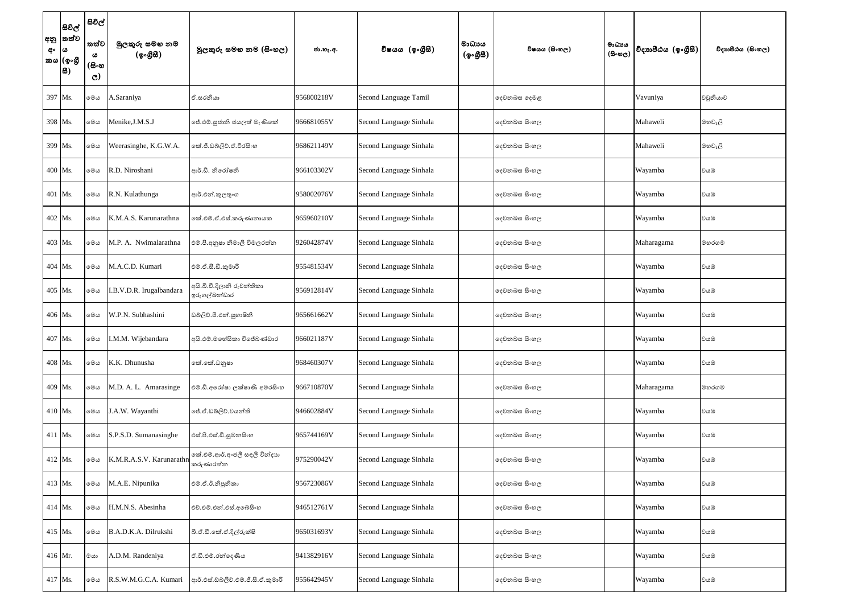| අං | සිවිල්<br> අනු  තත්ව<br>∣ ය<br>කය (ඉංගී<br> සි) | සිවිල් '<br>තත්ව<br>ය<br>(සිංහ<br>$\mathbf{C}$ | මුලකුරු සමහ නම<br>(ඉංගුිසි) | මූලකුරු සමහ නම (සිංහල)                      | ජා.හැ.අ.   | විෂයය (ඉංගීසී)          | මාධායය<br>(ඉංගීසී) | විෂයය (සිංහල) | මාධායය<br>$(B \circ \mathfrak{v}_C)$ | විදාහපීඨය (ඉංගීසී) | විදාහපීඨය (සිංහල) |
|----|-------------------------------------------------|------------------------------------------------|-----------------------------|---------------------------------------------|------------|-------------------------|--------------------|---------------|--------------------------------------|--------------------|-------------------|
|    | 397 Ms.                                         | මෙය                                            | A.Saraniya                  | ඒ.සරනියා                                    | 956800218V | Second Language Tamil   |                    | දෙවනබස දෙමළ   |                                      | Vavuniya           | වවුනියාව          |
|    | 398 Ms.                                         | මෙය                                            | Menike, J.M.S.J             | ජේ.එම්.සූජානි ජයලත් මැණිකේ                  | 966681055V | Second Language Sinhala |                    | දෙවනබස සිංහල  |                                      | Mahaweli           | මහවැලි            |
|    | 399 Ms.                                         | මෙය                                            | Weerasinghe, K.G.W.A.       | ංක්.ජී.ඩබ්ලිව්.ඒ.වීරසිංහ                    | 968621149V | Second Language Sinhala |                    | දෙවනබස සිංහල  |                                      | Mahaweli           | මහවැලි            |
|    | 400 Ms.                                         | මෙය                                            | R.D. Niroshani              | ආර්.ඩී. නිරෝෂනි                             | 966103302V | Second Language Sinhala |                    | දෙවනබස සිංහල  |                                      | Wayamba            | වයඹ               |
|    | 401 Ms.                                         | මෙය                                            | R.N. Kulathunga             | ආර්.එන්.කුලතුංග                             | 958002076V | Second Language Sinhala |                    | දෙවනබස සිංහල  |                                      | Wayamba            | වයඹ               |
|    | 402 Ms.                                         | මෙය                                            | K.M.A.S. Karunarathna       | කේ.එම්.ඒ.එස්.කරුණානායක                      | 965960210V | Second Language Sinhala |                    | දෙවනබස සිංහල  |                                      | Wayamba            | වයඹ               |
|    | 403 Ms.                                         | මෙය                                            | M.P. A. Nwimalarathna       | එම්.පී.අනුෂා නිමාලි විමලරත්න                | 926042874V | Second Language Sinhala |                    | දෙවනබස සිංහල  |                                      | Maharagama         | මහරගම             |
|    | 404 Ms.                                         | මෙය                                            | M.A.C.D. Kumari             | එම්.ඒ.සී.ඩී.කුමාරි                          | 955481534V | Second Language Sinhala |                    | දෙවනබස සිංහල  |                                      | Wayamba            | වයඹ               |
|    | 405 Ms.                                         | මෙය                                            | I.B.V.D.R. Irugalbandara    | අයි.බී.වී.දිලානි රුවත්තිකා<br>ඉරුගල්බන්ඩාර  | 956912814V | Second Language Sinhala |                    | දෙවනබස සිංහල  |                                      | Wayamba            | වයඹ               |
|    | 406 Ms.                                         | මෙය                                            | W.P.N. Subhashini           | ඩබලිව්.පී.එන්.සූහාෂිනී                      | 965661662V | Second Language Sinhala |                    | දෙවනබස සිංහල  |                                      | Wayamba            | වයඹ               |
|    | 407 Ms.                                         | මෙය                                            | I.M.M. Wijebandara          | අයි.එම්.මහේසිකා විජේබණ්ඩාර                  | 966021187V | Second Language Sinhala |                    | දෙවනබස සිංහල  |                                      | Wayamba            | වයඹ               |
|    | 408 Ms.                                         | මෙය                                            | K.K. Dhunusha               | කේ.කේ.ධනුෂා                                 | 968460307V | Second Language Sinhala |                    | දෙවනබස සිංහල  |                                      | Wayamba            | වයඹ               |
|    | 409 Ms.                                         | මෙය                                            | M.D. A. L. Amarasinge       | එම්.ඩී.අරෝෂා ලක්ෂාණි අමරසිංහ                | 966710870V | Second Language Sinhala |                    | දෙවනබස සිංහල  |                                      | Maharagama         | මහරගම             |
|    | 410 Ms.                                         | මෙය                                            | J.A.W. Wayanthi             | ්රී.ඒ.ඩබ්ලිව්.වයන්ති                        | 946602884V | Second Language Sinhala |                    | දෙවනබස සිංහල  |                                      | Wayamba            | වයඹ               |
|    | 411 Ms.                                         | මෙය                                            | S.P.S.D. Sumanasinghe       | එස්.පී.එස්.ඩී.සුමනසිංහ                      | 965744169V | Second Language Sinhala |                    | දෙවනබස සිංහල  |                                      | Wayamba            | වයඹ               |
|    | 412 Ms.                                         | මෙය                                            | K.M.R.A.S.V. Karunarathn    | ගක්.එම්.ආර්.අංජලී සඳලි වින්දාහ<br>කරුණාරත්න | 975290042V | Second Language Sinhala |                    | දෙවනබස සිංහල  |                                      | Wayamba            | වයඹ               |
|    | 413 Ms.                                         | මෙය                                            | M.A.E. Nipunika             | එම්.ඒ.ඊ.නිපුනිකා                            | 956723086V | Second Language Sinhala |                    | දෙවනබස සිංහල  |                                      | Wayamba            | වයඹ               |
|    | 414 Ms.                                         | මෙය                                            | H.M.N.S. Abesinha           | එච්.එම්.එන්.එස්.අබේසිංහ                     | 946512761V | Second Language Sinhala |                    | දෙවනබස සිංහල  |                                      | Wayamba            | වයඹ               |
|    | 415 Ms.                                         | මෙය                                            | B.A.D.K.A. Dilrukshi        | බී.ඒ.ඩී.කේ.ඒ.දිල්රුක්ෂි                     | 965031693V | Second Language Sinhala |                    | දෙවනබස සිංහල  |                                      | Wayamba            | වයඹ               |
|    | $416$ Mr.                                       | ගය                                             | A.D.M. Randeniya            | ඒ.ඩී.එම්.රන්දෙණිය                           | 941382916V | Second Language Sinhala |                    | දෙවනබස සිංහල  |                                      | Wayamba            | වයඹ               |
|    | 417 Ms.                                         | මෙය                                            | R.S.W.M.G.C.A. Kumari       | ආර්.එස්.ඩ්බ්ලිව්.එම්.ජි.සි.ඒ.කුමාරි         | 955642945V | Second Language Sinhala |                    | දෙවනබස සිංහල  |                                      | Wayamba            | වයඹ               |